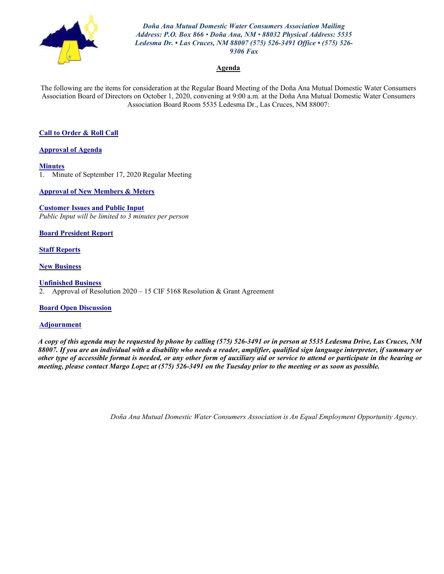

*Doña Ana Mutual Domestic Water Consumers Association Mailing Address: P.O. Box 866 • Doña Ana, NM • 88032 Physical Address: 5535 Ledesma Dr. • Las Cruces, NM 88007 (575) 526-3491 Office • (575) 526- 9306 Fax*

#### **Agenda**

The following are the items for consideration at the Regular Board Meeting of the Doña Ana Mutual Domestic Water Consumers Association Board of Directors on October 1, 2020, convening at 9:00 a.m. at the Doña Ana Mutual Domestic Water Consumers Association Board Room 5535 Ledesma Dr., Las Cruces, NM 88007:

#### **Call to Order & Roll Call**

**Approval of Agenda**

**Minutes**

1. Minute of September 17, 2020 Regular Meeting

**Approval of New Members & Meters**

**Customer Issues and Public Input** *Public Input will be limited to 3 minutes per person*

**Board President Report**

**Staff Reports**

**New Business**

**Unfinished Business** 2. Approval of Resolution 2020 – 15 CIF 5168 Resolution & Grant Agreement

#### **Board Open Discussion**

#### **Adjournment**

*A copy of this agenda may be requested by phone by calling (575) 526-3491 or in person at 5535 Ledesma Drive, Las Cruces, NM 88007. If you are an individual with a disability who needs a reader, amplifier, qualified sign language interpreter, if summary or other type of accessible format is needed, or any other form of auxiliary aid or service to attend or participate in the hearing or meeting, please contact Margo Lopez at (575) 526-3491 on the Tuesday prior to the meeting or as soon as possible.*

*Doña Ana Mutual Domestic Water Consumers Association is An Equal Employment Opportunity Agency.*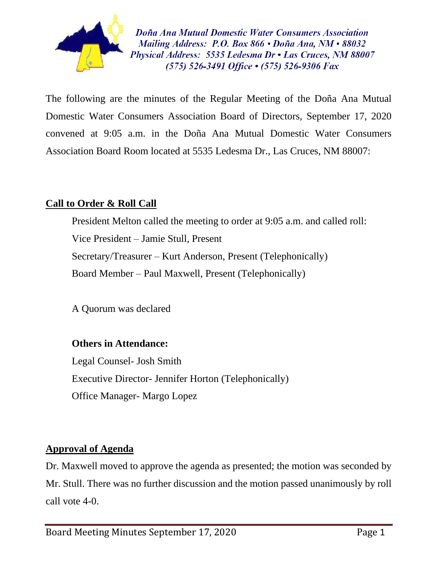

Doña Ana Mutual Domestic Water Consumers Association Mailing Address: P.O. Box 866  $\cdot$  Doña Ana, NM $\cdot$ 88032 Physical Address: 5535 Ledesma Dr • Las Cruces, NM 88007  $(575)$  526-3491 Office  $\cdot$  (575) 526-9306 Fax

The following are the minutes of the Regular Meeting of the Doña Ana Mutual Domestic Water Consumers Association Board of Directors, September 17, 2020 convened at 9:05 a.m. in the Doña Ana Mutual Domestic Water Consumers Association Board Room located at 5535 Ledesma Dr., Las Cruces, NM 88007:

# **Call to Order & Roll Call**

President Melton called the meeting to order at 9:05 a.m. and called roll: Vice President – Jamie Stull, Present Secretary/Treasurer – Kurt Anderson, Present (Telephonically) Board Member – Paul Maxwell, Present (Telephonically)

A Quorum was declared

# **Others in Attendance:**

Legal Counsel- Josh Smith Executive Director- Jennifer Horton (Telephonically) Office Manager- Margo Lopez

# **Approval of Agenda**

Dr. Maxwell moved to approve the agenda as presented; the motion was seconded by Mr. Stull. There was no further discussion and the motion passed unanimously by roll call vote 4-0.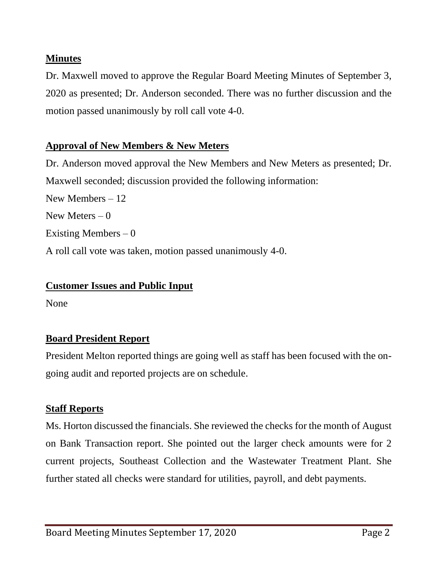# **Minutes**

Dr. Maxwell moved to approve the Regular Board Meeting Minutes of September 3, 2020 as presented; Dr. Anderson seconded. There was no further discussion and the motion passed unanimously by roll call vote 4-0.

# **Approval of New Members & New Meters**

Dr. Anderson moved approval the New Members and New Meters as presented; Dr. Maxwell seconded; discussion provided the following information:

New Members – 12 New Meters  $-0$ Existing Members  $-0$ A roll call vote was taken, motion passed unanimously 4-0.

# **Customer Issues and Public Input**

None

# **Board President Report**

President Melton reported things are going well as staff has been focused with the ongoing audit and reported projects are on schedule.

# **Staff Reports**

Ms. Horton discussed the financials. She reviewed the checks for the month of August on Bank Transaction report. She pointed out the larger check amounts were for 2 current projects, Southeast Collection and the Wastewater Treatment Plant. She further stated all checks were standard for utilities, payroll, and debt payments.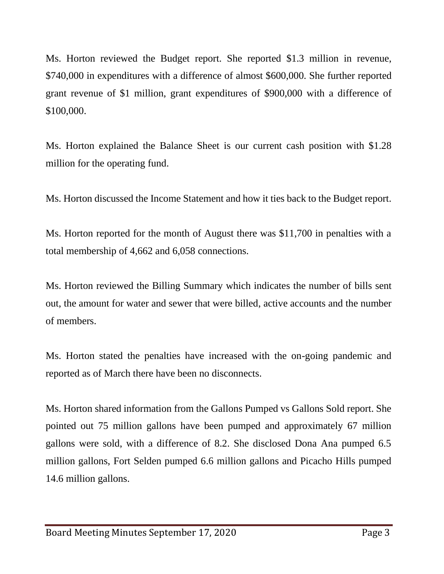Ms. Horton reviewed the Budget report. She reported \$1.3 million in revenue, \$740,000 in expenditures with a difference of almost \$600,000. She further reported grant revenue of \$1 million, grant expenditures of \$900,000 with a difference of \$100,000.

Ms. Horton explained the Balance Sheet is our current cash position with \$1.28 million for the operating fund.

Ms. Horton discussed the Income Statement and how it ties back to the Budget report.

Ms. Horton reported for the month of August there was \$11,700 in penalties with a total membership of 4,662 and 6,058 connections.

Ms. Horton reviewed the Billing Summary which indicates the number of bills sent out, the amount for water and sewer that were billed, active accounts and the number of members.

Ms. Horton stated the penalties have increased with the on-going pandemic and reported as of March there have been no disconnects.

Ms. Horton shared information from the Gallons Pumped vs Gallons Sold report. She pointed out 75 million gallons have been pumped and approximately 67 million gallons were sold, with a difference of 8.2. She disclosed Dona Ana pumped 6.5 million gallons, Fort Selden pumped 6.6 million gallons and Picacho Hills pumped 14.6 million gallons.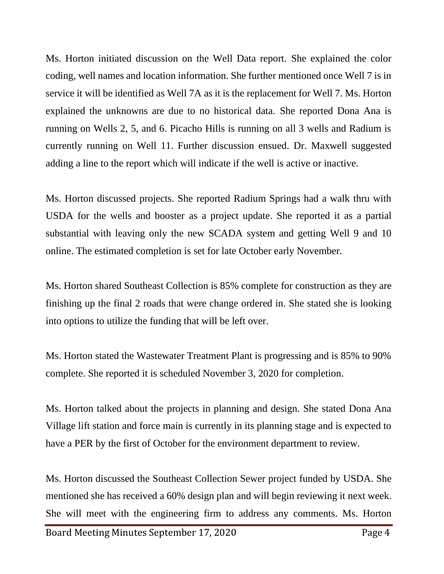Ms. Horton initiated discussion on the Well Data report. She explained the color coding, well names and location information. She further mentioned once Well 7 is in service it will be identified as Well 7A as it is the replacement for Well 7. Ms. Horton explained the unknowns are due to no historical data. She reported Dona Ana is running on Wells 2, 5, and 6. Picacho Hills is running on all 3 wells and Radium is currently running on Well 11. Further discussion ensued. Dr. Maxwell suggested adding a line to the report which will indicate if the well is active or inactive.

Ms. Horton discussed projects. She reported Radium Springs had a walk thru with USDA for the wells and booster as a project update. She reported it as a partial substantial with leaving only the new SCADA system and getting Well 9 and 10 online. The estimated completion is set for late October early November.

Ms. Horton shared Southeast Collection is 85% complete for construction as they are finishing up the final 2 roads that were change ordered in. She stated she is looking into options to utilize the funding that will be left over.

Ms. Horton stated the Wastewater Treatment Plant is progressing and is 85% to 90% complete. She reported it is scheduled November 3, 2020 for completion.

Ms. Horton talked about the projects in planning and design. She stated Dona Ana Village lift station and force main is currently in its planning stage and is expected to have a PER by the first of October for the environment department to review.

Ms. Horton discussed the Southeast Collection Sewer project funded by USDA. She mentioned she has received a 60% design plan and will begin reviewing it next week. She will meet with the engineering firm to address any comments. Ms. Horton

Board Meeting Minutes September 17, 2020 Page 4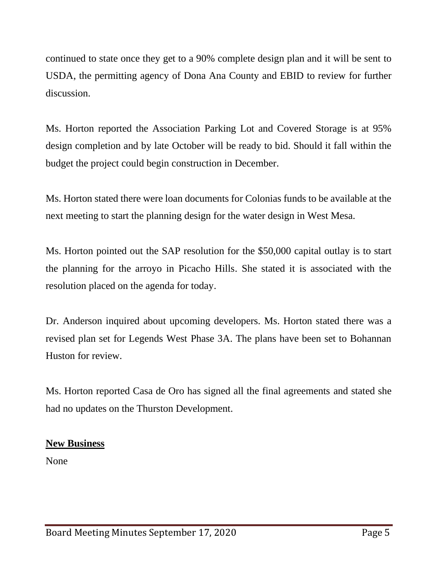continued to state once they get to a 90% complete design plan and it will be sent to USDA, the permitting agency of Dona Ana County and EBID to review for further discussion.

Ms. Horton reported the Association Parking Lot and Covered Storage is at 95% design completion and by late October will be ready to bid. Should it fall within the budget the project could begin construction in December.

Ms. Horton stated there were loan documents for Colonias funds to be available at the next meeting to start the planning design for the water design in West Mesa.

Ms. Horton pointed out the SAP resolution for the \$50,000 capital outlay is to start the planning for the arroyo in Picacho Hills. She stated it is associated with the resolution placed on the agenda for today.

Dr. Anderson inquired about upcoming developers. Ms. Horton stated there was a revised plan set for Legends West Phase 3A. The plans have been set to Bohannan Huston for review.

Ms. Horton reported Casa de Oro has signed all the final agreements and stated she had no updates on the Thurston Development.

# **New Business**

None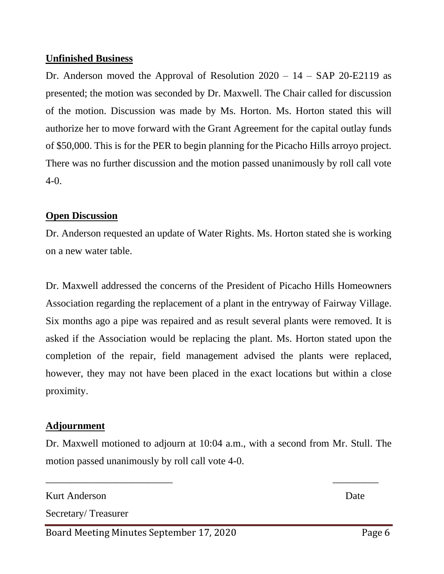# **Unfinished Business**

Dr. Anderson moved the Approval of Resolution  $2020 - 14 - SAP$  20-E2119 as presented; the motion was seconded by Dr. Maxwell. The Chair called for discussion of the motion. Discussion was made by Ms. Horton. Ms. Horton stated this will authorize her to move forward with the Grant Agreement for the capital outlay funds of \$50,000. This is for the PER to begin planning for the Picacho Hills arroyo project. There was no further discussion and the motion passed unanimously by roll call vote 4-0.

# **Open Discussion**

Dr. Anderson requested an update of Water Rights. Ms. Horton stated she is working on a new water table.

Dr. Maxwell addressed the concerns of the President of Picacho Hills Homeowners Association regarding the replacement of a plant in the entryway of Fairway Village. Six months ago a pipe was repaired and as result several plants were removed. It is asked if the Association would be replacing the plant. Ms. Horton stated upon the completion of the repair, field management advised the plants were replaced, however, they may not have been placed in the exact locations but within a close proximity.

# **Adjournment**

Dr. Maxwell motioned to adjourn at 10:04 a.m., with a second from Mr. Stull. The motion passed unanimously by roll call vote 4-0.

 $\overline{\phantom{a}}$  , and the contract of the contract of the contract of the contract of the contract of the contract of the contract of the contract of the contract of the contract of the contract of the contract of the contrac

Kurt Anderson Date Secretary/ Treasurer

Board Meeting Minutes September 17, 2020 Page 6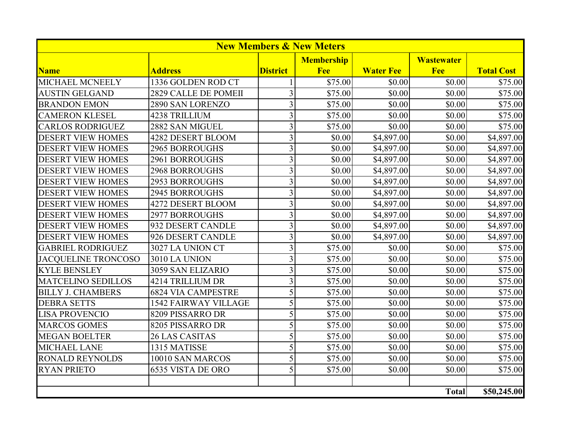| <b>New Members &amp; New Meters</b> |                             |                 |                   |                  |                   |                   |
|-------------------------------------|-----------------------------|-----------------|-------------------|------------------|-------------------|-------------------|
|                                     |                             |                 | <b>Membership</b> |                  | <b>Wastewater</b> |                   |
| <b>Name</b>                         | <b>Address</b>              | <b>District</b> | Fee               | <b>Water Fee</b> | Fee               | <b>Total Cost</b> |
| MICHAEL MCNEELY                     | 1336 GOLDEN ROD CT          |                 | \$75.00           | \$0.00           | \$0.00            | \$75.00           |
| <b>AUSTIN GELGAND</b>               | 2829 CALLE DE POMEII        | $\overline{3}$  | \$75.00           | \$0.00           | \$0.00            | \$75.00           |
| <b>BRANDON EMON</b>                 | 2890 SAN LORENZO            | $\overline{3}$  | \$75.00           | \$0.00           | \$0.00            | \$75.00           |
| <b>CAMERON KLESEL</b>               | <b>4238 TRILLIUM</b>        | $\overline{3}$  | \$75.00           | \$0.00           | \$0.00            | \$75.00           |
| <b>CARLOS RODRIGUEZ</b>             | 2882 SAN MIGUEL             | $\overline{3}$  | \$75.00           | \$0.00           | \$0.00            | \$75.00           |
| <b>DESERT VIEW HOMES</b>            | 4282 DESERT BLOOM           | $\overline{3}$  | \$0.00            | \$4,897.00       | \$0.00            | \$4,897.00        |
| <b>DESERT VIEW HOMES</b>            | <b>2965 BORROUGHS</b>       | $\overline{3}$  | \$0.00            | \$4,897.00       | \$0.00            | \$4,897.00        |
| <b>DESERT VIEW HOMES</b>            | <b>2961 BORROUGHS</b>       | 3               | \$0.00            | \$4,897.00       | \$0.00            | \$4,897.00        |
| <b>DESERT VIEW HOMES</b>            | <b>2968 BORROUGHS</b>       | $\overline{3}$  | \$0.00            | \$4,897.00       | \$0.00            | \$4,897.00        |
| <b>DESERT VIEW HOMES</b>            | <b>2953 BORROUGHS</b>       | $\overline{3}$  | \$0.00            | \$4,897.00       | \$0.00            | \$4,897.00        |
| <b>DESERT VIEW HOMES</b>            | <b>2945 BORROUGHS</b>       | 3               | \$0.00            | \$4,897.00       | \$0.00            | \$4,897.00        |
| <b>DESERT VIEW HOMES</b>            | 4272 DESERT BLOOM           | 3               | \$0.00            | \$4,897.00       | \$0.00            | \$4,897.00        |
| <b>DESERT VIEW HOMES</b>            | <b>2977 BORROUGHS</b>       | $\overline{3}$  | \$0.00            | \$4,897.00       | \$0.00            | \$4,897.00        |
| <b>DESERT VIEW HOMES</b>            | 932 DESERT CANDLE           | $\overline{3}$  | \$0.00            | \$4,897.00       | \$0.00            | \$4,897.00        |
| <b>DESERT VIEW HOMES</b>            | 926 DESERT CANDLE           | 3               | \$0.00            | \$4,897.00       | \$0.00            | \$4,897.00        |
| <b>GABRIEL RODRIGUEZ</b>            | 3027 LA UNION CT            | $\overline{3}$  | \$75.00           | \$0.00           | \$0.00            | \$75.00           |
| <b>JACQUELINE TRONCOSO</b>          | 3010 LA UNION               | $\overline{3}$  | \$75.00           | \$0.00           | \$0.00            | \$75.00           |
| <b>KYLE BENSLEY</b>                 | 3059 SAN ELIZARIO           | 3               | \$75.00           | \$0.00           | \$0.00            | \$75.00           |
| <b>MATCELINO SEDILLOS</b>           | 4214 TRILLIUM DR            | $\overline{3}$  | \$75.00           | \$0.00           | \$0.00            | \$75.00           |
| <b>BILLY J. CHAMBERS</b>            | <b>6824 VIA CAMPESTRE</b>   | 5               | \$75.00           | \$0.00           | \$0.00            | \$75.00           |
| <b>DEBRA SETTS</b>                  | <b>1542 FAIRWAY VILLAGE</b> | 5               | \$75.00           | \$0.00           | \$0.00            | \$75.00           |
| <b>LISA PROVENCIO</b>               | 8209 PISSARRO DR            | 5               | \$75.00           | \$0.00           | \$0.00            | \$75.00           |
| <b>MARCOS GOMES</b>                 | 8205 PISSARRO DR            | 5               | \$75.00           | \$0.00           | \$0.00            | \$75.00           |
| <b>MEGAN BOELTER</b>                | <b>26 LAS CASITAS</b>       | 5               | \$75.00           | \$0.00           | \$0.00            | \$75.00           |
| <b>MICHAEL LANE</b>                 | 1315 MATISSE                | 5               | \$75.00           | \$0.00           | \$0.00            | \$75.00           |
| <b>RONALD REYNOLDS</b>              | 10010 SAN MARCOS            | $\overline{5}$  | \$75.00           | \$0.00           | \$0.00            | \$75.00           |
| <b>RYAN PRIETO</b>                  | 6535 VISTA DE ORO           | 5               | \$75.00           | \$0.00           | \$0.00            | \$75.00           |
|                                     |                             |                 |                   |                  |                   |                   |
|                                     |                             |                 |                   |                  | <b>Total</b>      | \$50,245.00       |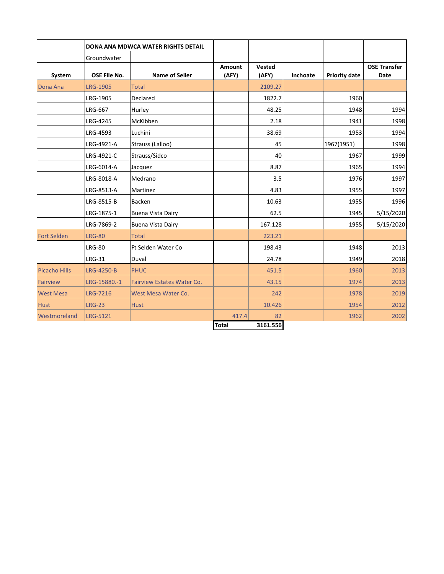|                    |                     | <b>DONA ANA MDWCA WATER RIGHTS DETAIL</b> |                        |                 |          |                      |                             |
|--------------------|---------------------|-------------------------------------------|------------------------|-----------------|----------|----------------------|-----------------------------|
|                    | Groundwater         |                                           |                        |                 |          |                      |                             |
| System             | <b>OSE File No.</b> | <b>Name of Seller</b>                     | <b>Amount</b><br>(AFY) | Vested<br>(AFY) | Inchoate | <b>Priority date</b> | <b>OSE Transfer</b><br>Date |
| Dona Ana           | <b>LRG-1905</b>     | <b>Total</b>                              |                        | 2109.27         |          |                      |                             |
|                    | LRG-1905            | Declared                                  |                        | 1822.7          |          | 1960                 |                             |
|                    | <b>LRG-667</b>      | Hurley                                    |                        | 48.25           |          | 1948                 | 1994                        |
|                    | LRG-4245            | McKibben                                  |                        | 2.18            |          | 1941                 | 1998                        |
|                    | LRG-4593            | Luchini                                   |                        | 38.69           |          | 1953                 | 1994                        |
|                    | LRG-4921-A          | Strauss (Lalloo)                          |                        | 45              |          | 1967(1951)           | 1998                        |
|                    | LRG-4921-C          | Strauss/Sidco                             |                        | 40              |          | 1967                 | 1999                        |
|                    | LRG-6014-A          | Jacquez                                   |                        | 8.87            |          | 1965                 | 1994                        |
|                    | LRG-8018-A          | Medrano                                   |                        | 3.5             |          | 1976                 | 1997                        |
|                    | LRG-8513-A          | Martinez                                  |                        | 4.83            |          | 1955                 | 1997                        |
|                    | LRG-8515-B          | <b>Backen</b>                             |                        | 10.63           |          | 1955                 | 1996                        |
|                    | LRG-1875-1          | <b>Buena Vista Dairy</b>                  |                        | 62.5            |          | 1945                 | 5/15/2020                   |
|                    | LRG-7869-2          | <b>Buena Vista Dairy</b>                  |                        | 167.128         |          | 1955                 | 5/15/2020                   |
| <b>Fort Selden</b> | <b>LRG-80</b>       | Total                                     |                        | 223.21          |          |                      |                             |
|                    | <b>LRG-80</b>       | <b>Ft Selden Water Co</b>                 |                        | 198.43          |          | 1948                 | 2013                        |
|                    | <b>LRG-31</b>       | Duval                                     |                        | 24.78           |          | 1949                 | 2018                        |
| Picacho Hills      | LRG-4250-B          | <b>PHUC</b>                               |                        | 451.5           |          | 1960                 | 2013                        |
| Fairview           | LRG-15880.-1        | <b>Fairview Estates Water Co.</b>         |                        | 43.15           |          | 1974                 | 2013                        |
| <b>West Mesa</b>   | <b>LRG-7216</b>     | West Mesa Water Co.                       |                        | 242             |          | 1978                 | 2019                        |
| <b>Hust</b>        | <b>LRG-23</b>       | <b>Hust</b>                               |                        | 10.426          |          | 1954                 | 2012                        |
| Westmoreland       | <b>LRG-5121</b>     |                                           | 417.4                  | 82              |          | 1962                 | 2002                        |
|                    |                     |                                           | <b>Total</b>           | 3161.556        |          |                      |                             |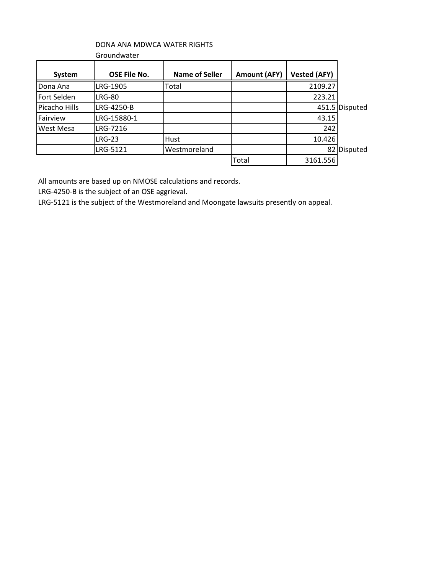# DONA ANA MDWCA WATER RIGHTS

| <b>System</b> | <b>OSE File No.</b> | <b>Name of Seller</b> | <b>Amount (AFY)</b> | <b>Vested (AFY)</b> |                |
|---------------|---------------------|-----------------------|---------------------|---------------------|----------------|
| Dona Ana      | LRG-1905            | Total                 |                     | 2109.27             |                |
| Fort Selden   | <b>LRG-80</b>       |                       |                     | 223.21              |                |
| Picacho Hills | LRG-4250-B          |                       |                     |                     | 451.5 Disputed |
| Fairview      | LRG-15880-1         |                       |                     | 43.15               |                |
| West Mesa     | LRG-7216            |                       |                     | 242                 |                |
|               | <b>LRG-23</b>       | Hust                  |                     | 10.426              |                |
|               | LRG-5121            | Westmoreland          |                     | 821                 | Disputed       |
|               |                     |                       | Total               | 3161.556            |                |

All amounts are based up on NMOSE calculations and records.

LRG-4250-B is the subject of an OSE aggrieval.

LRG-5121 is the subject of the Westmoreland and Moongate lawsuits presently on appeal.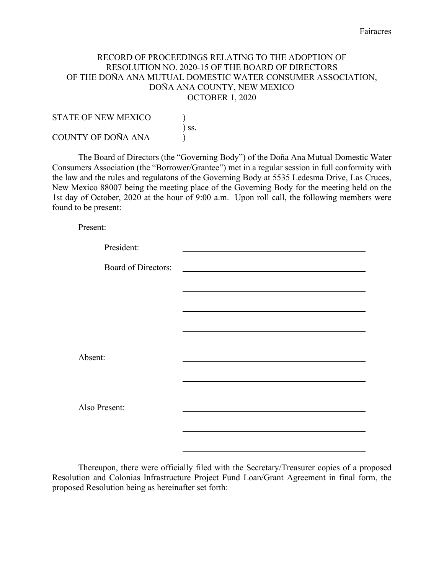### RECORD OF PROCEEDINGS RELATING TO THE ADOPTION OF RESOLUTION NO. 2020-15 OF THE BOARD OF DIRECTORS OF THE DOÑA ANA MUTUAL DOMESTIC WATER CONSUMER ASSOCIATION, DOÑA ANA COUNTY, NEW MEXICO OCTOBER 1, 2020

| <b>STATE OF NEW MEXICO</b> |            |
|----------------------------|------------|
|                            | $\sum$ SS. |
| COUNTY OF DOÑA ANA         |            |

The Board of Directors (the "Governing Body") of the Doña Ana Mutual Domestic Water Consumers Association (the "Borrower/Grantee") met in a regular session in full conformity with the law and the rules and regulatons of the Governing Body at 5535 Ledesma Drive, Las Cruces, New Mexico 88007 being the meeting place of the Governing Body for the meeting held on the 1st day of October, 2020 at the hour of 9:00 a.m. Upon roll call, the following members were found to be present:

Present:

| President:                 |                                                                                 |
|----------------------------|---------------------------------------------------------------------------------|
| <b>Board of Directors:</b> | the contract of the contract of the contract of the contract of the contract of |
|                            |                                                                                 |
|                            |                                                                                 |
|                            |                                                                                 |
|                            |                                                                                 |
| Absent:                    |                                                                                 |
|                            |                                                                                 |
|                            |                                                                                 |
| Also Present:              |                                                                                 |
|                            |                                                                                 |
|                            |                                                                                 |

Thereupon, there were officially filed with the Secretary/Treasurer copies of a proposed Resolution and Colonias Infrastructure Project Fund Loan/Grant Agreement in final form, the proposed Resolution being as hereinafter set forth: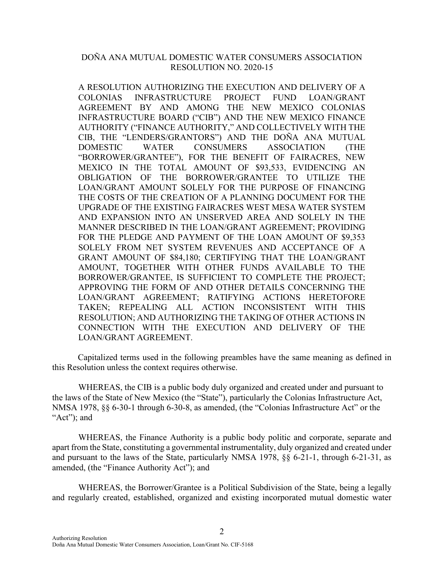## DOÑA ANA MUTUAL DOMESTIC WATER CONSUMERS ASSOCIATION RESOLUTION NO. 2020-15

A RESOLUTION AUTHORIZING THE EXECUTION AND DELIVERY OF A COLONIAS INFRASTRUCTURE PROJECT FUND LOAN/GRANT AGREEMENT BY AND AMONG THE NEW MEXICO COLONIAS INFRASTRUCTURE BOARD ("CIB") AND THE NEW MEXICO FINANCE AUTHORITY ("FINANCE AUTHORITY," AND COLLECTIVELY WITH THE CIB, THE "LENDERS/GRANTORS") AND THE DOÑA ANA MUTUAL DOMESTIC WATER CONSUMERS ASSOCIATION (THE "BORROWER/GRANTEE"), FOR THE BENEFIT OF FAIRACRES, NEW MEXICO IN THE TOTAL AMOUNT OF \$93,533, EVIDENCING AN OBLIGATION OF THE BORROWER/GRANTEE TO UTILIZE THE LOAN/GRANT AMOUNT SOLELY FOR THE PURPOSE OF FINANCING THE COSTS OF THE CREATION OF A PLANNING DOCUMENT FOR THE UPGRADE OF THE EXISTING FAIRACRES WEST MESA WATER SYSTEM AND EXPANSION INTO AN UNSERVED AREA AND SOLELY IN THE MANNER DESCRIBED IN THE LOAN/GRANT AGREEMENT; PROVIDING FOR THE PLEDGE AND PAYMENT OF THE LOAN AMOUNT OF \$9,353 SOLELY FROM NET SYSTEM REVENUES AND ACCEPTANCE OF A GRANT AMOUNT OF \$84,180; CERTIFYING THAT THE LOAN/GRANT AMOUNT, TOGETHER WITH OTHER FUNDS AVAILABLE TO THE BORROWER/GRANTEE, IS SUFFICIENT TO COMPLETE THE PROJECT; APPROVING THE FORM OF AND OTHER DETAILS CONCERNING THE LOAN/GRANT AGREEMENT; RATIFYING ACTIONS HERETOFORE TAKEN; REPEALING ALL ACTION INCONSISTENT WITH THIS RESOLUTION; AND AUTHORIZING THE TAKING OF OTHER ACTIONS IN CONNECTION WITH THE EXECUTION AND DELIVERY OF THE LOAN/GRANT AGREEMENT.

Capitalized terms used in the following preambles have the same meaning as defined in this Resolution unless the context requires otherwise.

WHEREAS, the CIB is a public body duly organized and created under and pursuant to the laws of the State of New Mexico (the "State"), particularly the Colonias Infrastructure Act, NMSA 1978, §§ 6-30-1 through 6-30-8, as amended, (the "Colonias Infrastructure Act" or the "Act"; and

WHEREAS, the Finance Authority is a public body politic and corporate, separate and apart from the State, constituting a governmental instrumentality, duly organized and created under and pursuant to the laws of the State, particularly NMSA 1978, §§ 6-21-1, through 6-21-31, as amended, (the "Finance Authority Act"); and

WHEREAS, the Borrower/Grantee is a Political Subdivision of the State, being a legally and regularly created, established, organized and existing incorporated mutual domestic water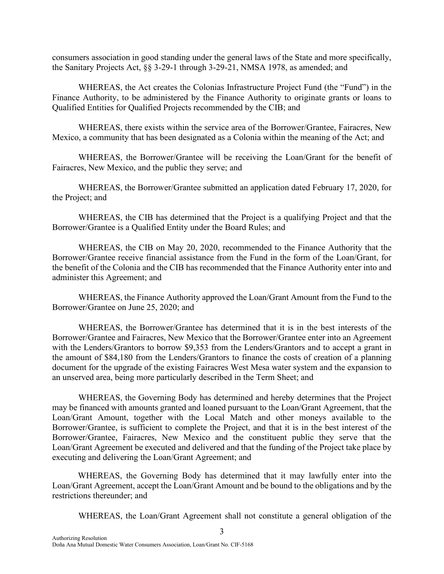consumers association in good standing under the general laws of the State and more specifically, the Sanitary Projects Act, §§ 3-29-1 through 3-29-21, NMSA 1978, as amended; and

WHEREAS, the Act creates the Colonias Infrastructure Project Fund (the "Fund") in the Finance Authority, to be administered by the Finance Authority to originate grants or loans to Qualified Entities for Qualified Projects recommended by the CIB; and

WHEREAS, there exists within the service area of the Borrower/Grantee, Fairacres, New Mexico, a community that has been designated as a Colonia within the meaning of the Act; and

WHEREAS, the Borrower/Grantee will be receiving the Loan/Grant for the benefit of Fairacres, New Mexico, and the public they serve; and

WHEREAS, the Borrower/Grantee submitted an application dated February 17, 2020, for the Project; and

WHEREAS, the CIB has determined that the Project is a qualifying Project and that the Borrower/Grantee is a Qualified Entity under the Board Rules; and

WHEREAS, the CIB on May 20, 2020, recommended to the Finance Authority that the Borrower/Grantee receive financial assistance from the Fund in the form of the Loan/Grant, for the benefit of the Colonia and the CIB has recommended that the Finance Authority enter into and administer this Agreement; and

WHEREAS, the Finance Authority approved the Loan/Grant Amount from the Fund to the Borrower/Grantee on June 25, 2020; and

WHEREAS, the Borrower/Grantee has determined that it is in the best interests of the Borrower/Grantee and Fairacres, New Mexico that the Borrower/Grantee enter into an Agreement with the Lenders/Grantors to borrow \$9,353 from the Lenders/Grantors and to accept a grant in the amount of \$84,180 from the Lenders/Grantors to finance the costs of creation of a planning document for the upgrade of the existing Fairacres West Mesa water system and the expansion to an unserved area, being more particularly described in the Term Sheet; and

WHEREAS, the Governing Body has determined and hereby determines that the Project may be financed with amounts granted and loaned pursuant to the Loan/Grant Agreement, that the Loan/Grant Amount, together with the Local Match and other moneys available to the Borrower/Grantee, is sufficient to complete the Project, and that it is in the best interest of the Borrower/Grantee, Fairacres, New Mexico and the constituent public they serve that the Loan/Grant Agreement be executed and delivered and that the funding of the Project take place by executing and delivering the Loan/Grant Agreement; and

WHEREAS, the Governing Body has determined that it may lawfully enter into the Loan/Grant Agreement, accept the Loan/Grant Amount and be bound to the obligations and by the restrictions thereunder; and

WHEREAS, the Loan/Grant Agreement shall not constitute a general obligation of the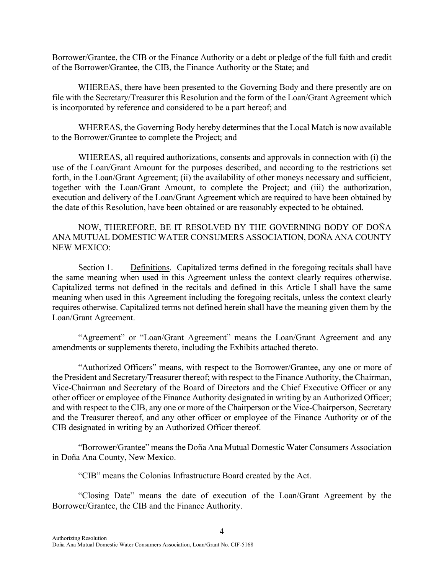Borrower/Grantee, the CIB or the Finance Authority or a debt or pledge of the full faith and credit of the Borrower/Grantee, the CIB, the Finance Authority or the State; and

WHEREAS, there have been presented to the Governing Body and there presently are on file with the Secretary/Treasurer this Resolution and the form of the Loan/Grant Agreement which is incorporated by reference and considered to be a part hereof; and

WHEREAS, the Governing Body hereby determines that the Local Match is now available to the Borrower/Grantee to complete the Project; and

WHEREAS, all required authorizations, consents and approvals in connection with (i) the use of the Loan/Grant Amount for the purposes described, and according to the restrictions set forth, in the Loan/Grant Agreement; (ii) the availability of other moneys necessary and sufficient, together with the Loan/Grant Amount, to complete the Project; and (iii) the authorization, execution and delivery of the Loan/Grant Agreement which are required to have been obtained by the date of this Resolution, have been obtained or are reasonably expected to be obtained.

NOW, THEREFORE, BE IT RESOLVED BY THE GOVERNING BODY OF DOÑA ANA MUTUAL DOMESTIC WATER CONSUMERS ASSOCIATION, DOÑA ANA COUNTY NEW MEXICO:

Section 1. Definitions. Capitalized terms defined in the foregoing recitals shall have the same meaning when used in this Agreement unless the context clearly requires otherwise. Capitalized terms not defined in the recitals and defined in this Article I shall have the same meaning when used in this Agreement including the foregoing recitals, unless the context clearly requires otherwise. Capitalized terms not defined herein shall have the meaning given them by the Loan/Grant Agreement.

"Agreement" or "Loan/Grant Agreement" means the Loan/Grant Agreement and any amendments or supplements thereto, including the Exhibits attached thereto.

"Authorized Officers" means, with respect to the Borrower/Grantee, any one or more of the President and Secretary/Treasurer thereof; with respect to the Finance Authority, the Chairman, Vice-Chairman and Secretary of the Board of Directors and the Chief Executive Officer or any other officer or employee of the Finance Authority designated in writing by an Authorized Officer; and with respect to the CIB, any one or more of the Chairperson or the Vice-Chairperson, Secretary and the Treasurer thereof, and any other officer or employee of the Finance Authority or of the CIB designated in writing by an Authorized Officer thereof.

"Borrower/Grantee" means the Doña Ana Mutual Domestic Water Consumers Association in Doña Ana County, New Mexico.

"CIB" means the Colonias Infrastructure Board created by the Act.

"Closing Date" means the date of execution of the Loan/Grant Agreement by the Borrower/Grantee, the CIB and the Finance Authority.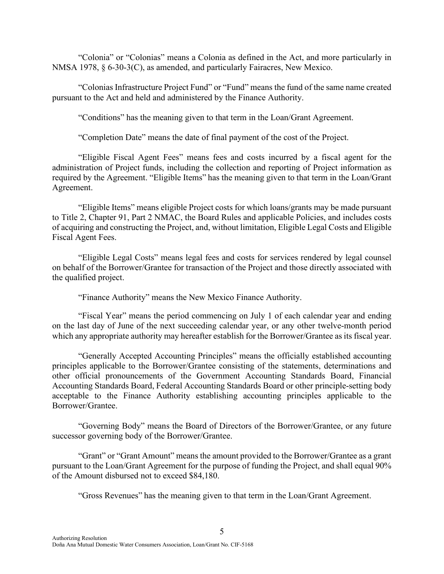"Colonia" or "Colonias" means a Colonia as defined in the Act, and more particularly in NMSA 1978, § 6-30-3(C), as amended, and particularly Fairacres, New Mexico.

"Colonias Infrastructure Project Fund" or "Fund" means the fund of the same name created pursuant to the Act and held and administered by the Finance Authority.

"Conditions" has the meaning given to that term in the Loan/Grant Agreement.

"Completion Date" means the date of final payment of the cost of the Project.

"Eligible Fiscal Agent Fees" means fees and costs incurred by a fiscal agent for the administration of Project funds, including the collection and reporting of Project information as required by the Agreement. "Eligible Items" has the meaning given to that term in the Loan/Grant Agreement.

"Eligible Items" means eligible Project costs for which loans/grants may be made pursuant to Title 2, Chapter 91, Part 2 NMAC, the Board Rules and applicable Policies, and includes costs of acquiring and constructing the Project, and, without limitation, Eligible Legal Costs and Eligible Fiscal Agent Fees.

"Eligible Legal Costs" means legal fees and costs for services rendered by legal counsel on behalf of the Borrower/Grantee for transaction of the Project and those directly associated with the qualified project.

"Finance Authority" means the New Mexico Finance Authority.

"Fiscal Year" means the period commencing on July 1 of each calendar year and ending on the last day of June of the next succeeding calendar year, or any other twelve-month period which any appropriate authority may hereafter establish for the Borrower/Grantee as its fiscal year.

"Generally Accepted Accounting Principles" means the officially established accounting principles applicable to the Borrower/Grantee consisting of the statements, determinations and other official pronouncements of the Government Accounting Standards Board, Financial Accounting Standards Board, Federal Accounting Standards Board or other principle-setting body acceptable to the Finance Authority establishing accounting principles applicable to the Borrower/Grantee.

"Governing Body" means the Board of Directors of the Borrower/Grantee, or any future successor governing body of the Borrower/Grantee.

"Grant" or "Grant Amount" means the amount provided to the Borrower/Grantee as a grant pursuant to the Loan/Grant Agreement for the purpose of funding the Project, and shall equal 90% of the Amount disbursed not to exceed \$84,180.

"Gross Revenues" has the meaning given to that term in the Loan/Grant Agreement.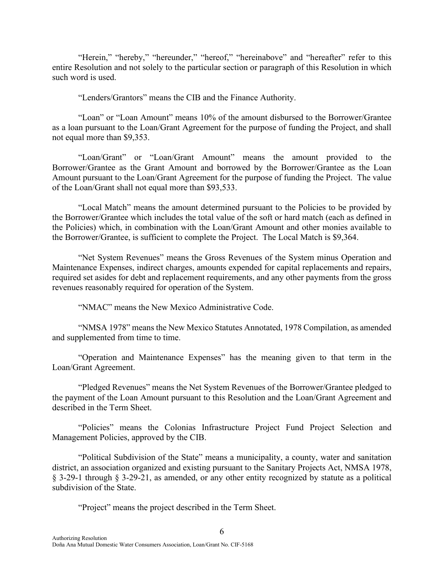"Herein," "hereby," "hereunder," "hereof," "hereinabove" and "hereafter" refer to this entire Resolution and not solely to the particular section or paragraph of this Resolution in which such word is used.

"Lenders/Grantors" means the CIB and the Finance Authority.

"Loan" or "Loan Amount" means 10% of the amount disbursed to the Borrower/Grantee as a loan pursuant to the Loan/Grant Agreement for the purpose of funding the Project, and shall not equal more than \$9,353.

"Loan/Grant" or "Loan/Grant Amount" means the amount provided to the Borrower/Grantee as the Grant Amount and borrowed by the Borrower/Grantee as the Loan Amount pursuant to the Loan/Grant Agreement for the purpose of funding the Project. The value of the Loan/Grant shall not equal more than \$93,533.

"Local Match" means the amount determined pursuant to the Policies to be provided by the Borrower/Grantee which includes the total value of the soft or hard match (each as defined in the Policies) which, in combination with the Loan/Grant Amount and other monies available to the Borrower/Grantee, is sufficient to complete the Project. The Local Match is \$9,364.

"Net System Revenues" means the Gross Revenues of the System minus Operation and Maintenance Expenses, indirect charges, amounts expended for capital replacements and repairs, required set asides for debt and replacement requirements, and any other payments from the gross revenues reasonably required for operation of the System.

"NMAC" means the New Mexico Administrative Code.

"NMSA 1978" means the New Mexico Statutes Annotated, 1978 Compilation, as amended and supplemented from time to time.

"Operation and Maintenance Expenses" has the meaning given to that term in the Loan/Grant Agreement.

"Pledged Revenues" means the Net System Revenues of the Borrower/Grantee pledged to the payment of the Loan Amount pursuant to this Resolution and the Loan/Grant Agreement and described in the Term Sheet.

"Policies" means the Colonias Infrastructure Project Fund Project Selection and Management Policies, approved by the CIB.

"Political Subdivision of the State" means a municipality, a county, water and sanitation district, an association organized and existing pursuant to the Sanitary Projects Act, NMSA 1978, § 3-29-1 through § 3-29-21, as amended, or any other entity recognized by statute as a political subdivision of the State.

6

"Project" means the project described in the Term Sheet.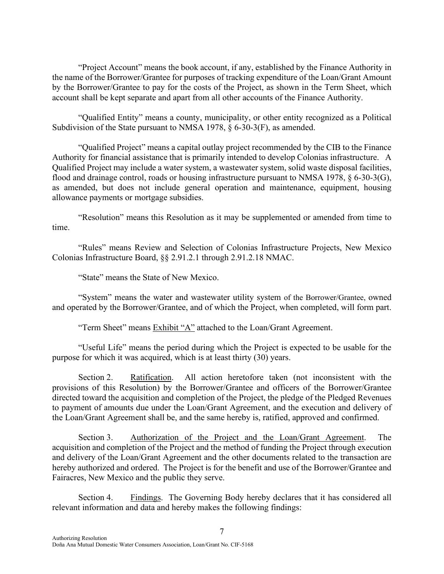"Project Account" means the book account, if any, established by the Finance Authority in the name of the Borrower/Grantee for purposes of tracking expenditure of the Loan/Grant Amount by the Borrower/Grantee to pay for the costs of the Project, as shown in the Term Sheet, which account shall be kept separate and apart from all other accounts of the Finance Authority.

"Qualified Entity" means a county, municipality, or other entity recognized as a Political Subdivision of the State pursuant to NMSA 1978, § 6-30-3(F), as amended.

"Qualified Project" means a capital outlay project recommended by the CIB to the Finance Authority for financial assistance that is primarily intended to develop Colonias infrastructure. A Qualified Project may include a water system, a wastewater system, solid waste disposal facilities, flood and drainage control, roads or housing infrastructure pursuant to NMSA 1978, § 6-30-3(G), as amended, but does not include general operation and maintenance, equipment, housing allowance payments or mortgage subsidies.

"Resolution" means this Resolution as it may be supplemented or amended from time to time.

"Rules" means Review and Selection of Colonias Infrastructure Projects, New Mexico Colonias Infrastructure Board, §§ 2.91.2.1 through 2.91.2.18 NMAC.

"State" means the State of New Mexico.

"System" means the water and wastewater utility system of the Borrower/Grantee, owned and operated by the Borrower/Grantee, and of which the Project, when completed, will form part.

"Term Sheet" means Exhibit "A" attached to the Loan/Grant Agreement.

"Useful Life" means the period during which the Project is expected to be usable for the purpose for which it was acquired, which is at least thirty (30) years.

Section 2. Ratification. All action heretofore taken (not inconsistent with the provisions of this Resolution) by the Borrower/Grantee and officers of the Borrower/Grantee directed toward the acquisition and completion of the Project, the pledge of the Pledged Revenues to payment of amounts due under the Loan/Grant Agreement, and the execution and delivery of the Loan/Grant Agreement shall be, and the same hereby is, ratified, approved and confirmed.

Section 3. Authorization of the Project and the Loan/Grant Agreement. The acquisition and completion of the Project and the method of funding the Project through execution and delivery of the Loan/Grant Agreement and the other documents related to the transaction are hereby authorized and ordered. The Project is for the benefit and use of the Borrower/Grantee and Fairacres, New Mexico and the public they serve.

Section 4. Findings. The Governing Body hereby declares that it has considered all relevant information and data and hereby makes the following findings: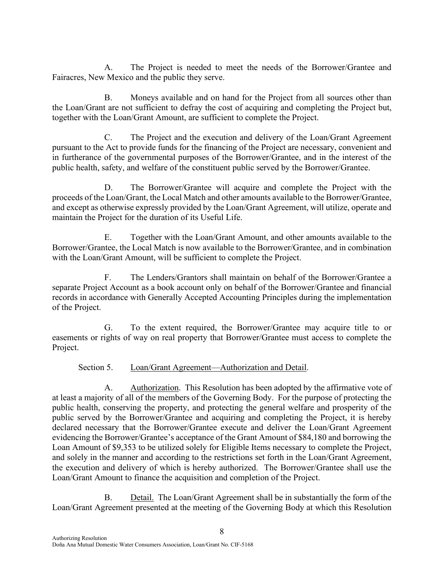A. The Project is needed to meet the needs of the Borrower/Grantee and Fairacres, New Mexico and the public they serve.

B. Moneys available and on hand for the Project from all sources other than the Loan/Grant are not sufficient to defray the cost of acquiring and completing the Project but, together with the Loan/Grant Amount, are sufficient to complete the Project.

C. The Project and the execution and delivery of the Loan/Grant Agreement pursuant to the Act to provide funds for the financing of the Project are necessary, convenient and in furtherance of the governmental purposes of the Borrower/Grantee, and in the interest of the public health, safety, and welfare of the constituent public served by the Borrower/Grantee.

D. The Borrower/Grantee will acquire and complete the Project with the proceeds of the Loan/Grant, the Local Match and other amounts available to the Borrower/Grantee, and except as otherwise expressly provided by the Loan/Grant Agreement, will utilize, operate and maintain the Project for the duration of its Useful Life.

E. Together with the Loan/Grant Amount, and other amounts available to the Borrower/Grantee, the Local Match is now available to the Borrower/Grantee, and in combination with the Loan/Grant Amount, will be sufficient to complete the Project.

F. The Lenders/Grantors shall maintain on behalf of the Borrower/Grantee a separate Project Account as a book account only on behalf of the Borrower/Grantee and financial records in accordance with Generally Accepted Accounting Principles during the implementation of the Project.

G. To the extent required, the Borrower/Grantee may acquire title to or easements or rights of way on real property that Borrower/Grantee must access to complete the Project.

Section 5. Loan/Grant Agreement—Authorization and Detail.

A. Authorization. This Resolution has been adopted by the affirmative vote of at least a majority of all of the members of the Governing Body. For the purpose of protecting the public health, conserving the property, and protecting the general welfare and prosperity of the public served by the Borrower/Grantee and acquiring and completing the Project, it is hereby declared necessary that the Borrower/Grantee execute and deliver the Loan/Grant Agreement evidencing the Borrower/Grantee's acceptance of the Grant Amount of \$84,180 and borrowing the Loan Amount of \$9,353 to be utilized solely for Eligible Items necessary to complete the Project, and solely in the manner and according to the restrictions set forth in the Loan/Grant Agreement, the execution and delivery of which is hereby authorized. The Borrower/Grantee shall use the Loan/Grant Amount to finance the acquisition and completion of the Project.

B. Detail. The Loan/Grant Agreement shall be in substantially the form of the Loan/Grant Agreement presented at the meeting of the Governing Body at which this Resolution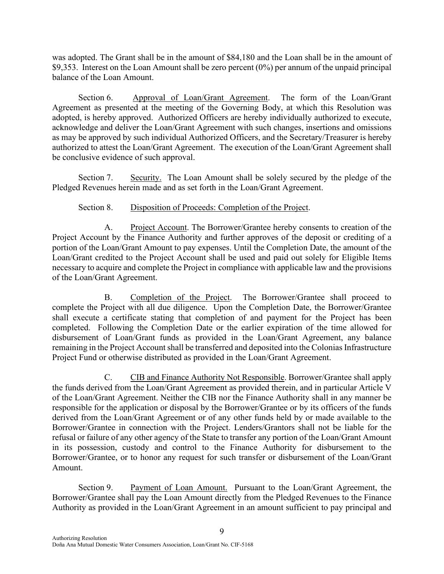was adopted. The Grant shall be in the amount of \$84,180 and the Loan shall be in the amount of \$9,353. Interest on the Loan Amount shall be zero percent (0%) per annum of the unpaid principal balance of the Loan Amount.

Section 6. Approval of Loan/Grant Agreement. The form of the Loan/Grant Agreement as presented at the meeting of the Governing Body, at which this Resolution was adopted, is hereby approved. Authorized Officers are hereby individually authorized to execute, acknowledge and deliver the Loan/Grant Agreement with such changes, insertions and omissions as may be approved by such individual Authorized Officers, and the Secretary/Treasurer is hereby authorized to attest the Loan/Grant Agreement. The execution of the Loan/Grant Agreement shall be conclusive evidence of such approval.

Section 7. Security. The Loan Amount shall be solely secured by the pledge of the Pledged Revenues herein made and as set forth in the Loan/Grant Agreement.

# Section 8. Disposition of Proceeds: Completion of the Project.

A. Project Account. The Borrower/Grantee hereby consents to creation of the Project Account by the Finance Authority and further approves of the deposit or crediting of a portion of the Loan/Grant Amount to pay expenses. Until the Completion Date, the amount of the Loan/Grant credited to the Project Account shall be used and paid out solely for Eligible Items necessary to acquire and complete the Project in compliance with applicable law and the provisions of the Loan/Grant Agreement.

B. Completion of the Project. The Borrower/Grantee shall proceed to complete the Project with all due diligence. Upon the Completion Date, the Borrower/Grantee shall execute a certificate stating that completion of and payment for the Project has been completed. Following the Completion Date or the earlier expiration of the time allowed for disbursement of Loan/Grant funds as provided in the Loan/Grant Agreement, any balance remaining in the Project Account shall be transferred and deposited into the Colonias Infrastructure Project Fund or otherwise distributed as provided in the Loan/Grant Agreement.

C. CIB and Finance Authority Not Responsible. Borrower/Grantee shall apply the funds derived from the Loan/Grant Agreement as provided therein, and in particular Article V of the Loan/Grant Agreement. Neither the CIB nor the Finance Authority shall in any manner be responsible for the application or disposal by the Borrower/Grantee or by its officers of the funds derived from the Loan/Grant Agreement or of any other funds held by or made available to the Borrower/Grantee in connection with the Project. Lenders/Grantors shall not be liable for the refusal or failure of any other agency of the State to transfer any portion of the Loan/Grant Amount in its possession, custody and control to the Finance Authority for disbursement to the Borrower/Grantee, or to honor any request for such transfer or disbursement of the Loan/Grant Amount.

Section 9. Payment of Loan Amount. Pursuant to the Loan/Grant Agreement, the Borrower/Grantee shall pay the Loan Amount directly from the Pledged Revenues to the Finance Authority as provided in the Loan/Grant Agreement in an amount sufficient to pay principal and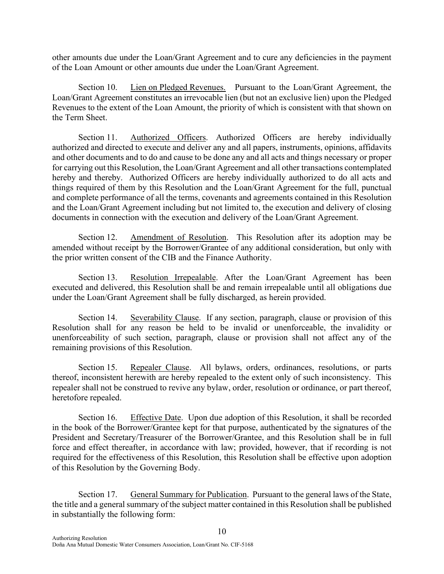other amounts due under the Loan/Grant Agreement and to cure any deficiencies in the payment of the Loan Amount or other amounts due under the Loan/Grant Agreement.

Section 10. Lien on Pledged Revenues. Pursuant to the Loan/Grant Agreement, the Loan/Grant Agreement constitutes an irrevocable lien (but not an exclusive lien) upon the Pledged Revenues to the extent of the Loan Amount, the priority of which is consistent with that shown on the Term Sheet.

Section 11. Authorized Officers. Authorized Officers are hereby individually authorized and directed to execute and deliver any and all papers, instruments, opinions, affidavits and other documents and to do and cause to be done any and all acts and things necessary or proper for carrying out this Resolution, the Loan/Grant Agreement and all other transactions contemplated hereby and thereby. Authorized Officers are hereby individually authorized to do all acts and things required of them by this Resolution and the Loan/Grant Agreement for the full, punctual and complete performance of all the terms, covenants and agreements contained in this Resolution and the Loan/Grant Agreement including but not limited to, the execution and delivery of closing documents in connection with the execution and delivery of the Loan/Grant Agreement.

Section 12. Amendment of Resolution. This Resolution after its adoption may be amended without receipt by the Borrower/Grantee of any additional consideration, but only with the prior written consent of the CIB and the Finance Authority.

Section 13. Resolution Irrepealable. After the Loan/Grant Agreement has been executed and delivered, this Resolution shall be and remain irrepealable until all obligations due under the Loan/Grant Agreement shall be fully discharged, as herein provided.

Section 14. Severability Clause. If any section, paragraph, clause or provision of this Resolution shall for any reason be held to be invalid or unenforceable, the invalidity or unenforceability of such section, paragraph, clause or provision shall not affect any of the remaining provisions of this Resolution.

Section 15. Repealer Clause. All bylaws, orders, ordinances, resolutions, or parts thereof, inconsistent herewith are hereby repealed to the extent only of such inconsistency. This repealer shall not be construed to revive any bylaw, order, resolution or ordinance, or part thereof, heretofore repealed.

Section 16. Effective Date. Upon due adoption of this Resolution, it shall be recorded in the book of the Borrower/Grantee kept for that purpose, authenticated by the signatures of the President and Secretary/Treasurer of the Borrower/Grantee, and this Resolution shall be in full force and effect thereafter, in accordance with law; provided, however, that if recording is not required for the effectiveness of this Resolution, this Resolution shall be effective upon adoption of this Resolution by the Governing Body.

Section 17. General Summary for Publication. Pursuant to the general laws of the State, the title and a general summary of the subject matter contained in this Resolution shall be published in substantially the following form: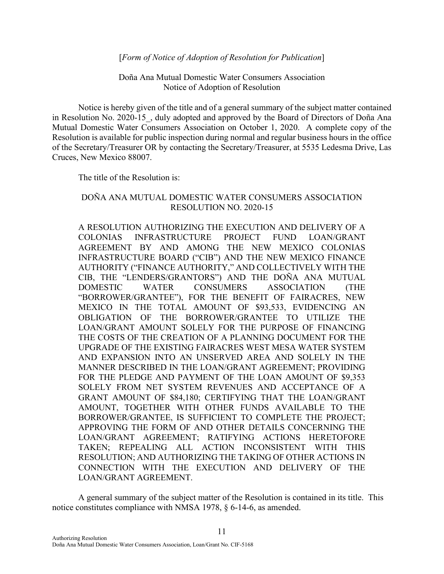#### [*Form of Notice of Adoption of Resolution for Publication*]

Doña Ana Mutual Domestic Water Consumers Association Notice of Adoption of Resolution

Notice is hereby given of the title and of a general summary of the subject matter contained in Resolution No. 2020-15, duly adopted and approved by the Board of Directors of Doña Ana Mutual Domestic Water Consumers Association on October 1, 2020. A complete copy of the Resolution is available for public inspection during normal and regular business hours in the office of the Secretary/Treasurer OR by contacting the Secretary/Treasurer, at 5535 Ledesma Drive, Las Cruces, New Mexico 88007.

The title of the Resolution is:

# DOÑA ANA MUTUAL DOMESTIC WATER CONSUMERS ASSOCIATION RESOLUTION NO. 2020-15

A RESOLUTION AUTHORIZING THE EXECUTION AND DELIVERY OF A COLONIAS INFRASTRUCTURE PROJECT FUND LOAN/GRANT AGREEMENT BY AND AMONG THE NEW MEXICO COLONIAS INFRASTRUCTURE BOARD ("CIB") AND THE NEW MEXICO FINANCE AUTHORITY ("FINANCE AUTHORITY," AND COLLECTIVELY WITH THE CIB, THE "LENDERS/GRANTORS") AND THE DOÑA ANA MUTUAL DOMESTIC WATER CONSUMERS ASSOCIATION (THE "BORROWER/GRANTEE"), FOR THE BENEFIT OF FAIRACRES, NEW MEXICO IN THE TOTAL AMOUNT OF \$93,533, EVIDENCING AN OBLIGATION OF THE BORROWER/GRANTEE TO UTILIZE THE LOAN/GRANT AMOUNT SOLELY FOR THE PURPOSE OF FINANCING THE COSTS OF THE CREATION OF A PLANNING DOCUMENT FOR THE UPGRADE OF THE EXISTING FAIRACRES WEST MESA WATER SYSTEM AND EXPANSION INTO AN UNSERVED AREA AND SOLELY IN THE MANNER DESCRIBED IN THE LOAN/GRANT AGREEMENT; PROVIDING FOR THE PLEDGE AND PAYMENT OF THE LOAN AMOUNT OF \$9,353 SOLELY FROM NET SYSTEM REVENUES AND ACCEPTANCE OF A GRANT AMOUNT OF \$84,180; CERTIFYING THAT THE LOAN/GRANT AMOUNT, TOGETHER WITH OTHER FUNDS AVAILABLE TO THE BORROWER/GRANTEE, IS SUFFICIENT TO COMPLETE THE PROJECT; APPROVING THE FORM OF AND OTHER DETAILS CONCERNING THE LOAN/GRANT AGREEMENT; RATIFYING ACTIONS HERETOFORE TAKEN; REPEALING ALL ACTION INCONSISTENT WITH THIS RESOLUTION; AND AUTHORIZING THE TAKING OF OTHER ACTIONS IN CONNECTION WITH THE EXECUTION AND DELIVERY OF THE LOAN/GRANT AGREEMENT.

A general summary of the subject matter of the Resolution is contained in its title. This notice constitutes compliance with NMSA 1978, § 6-14-6, as amended.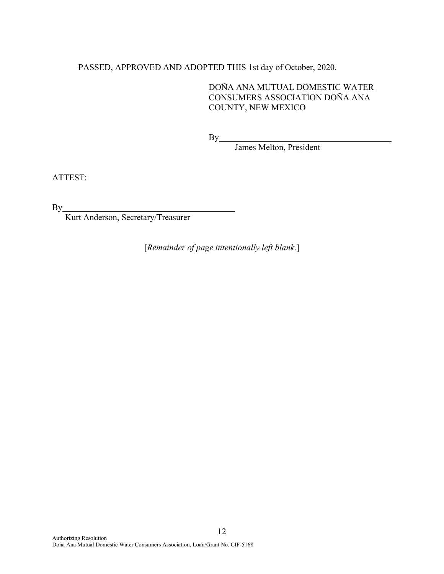# PASSED, APPROVED AND ADOPTED THIS 1st day of October, 2020.

DOÑA ANA MUTUAL DOMESTIC WATER CONSUMERS ASSOCIATION DOÑA ANA COUNTY, NEW MEXICO

**By\_\_\_** 

James Melton, President

ATTEST:

By

Kurt Anderson, Secretary/Treasurer

[*Remainder of page intentionally left blank*.]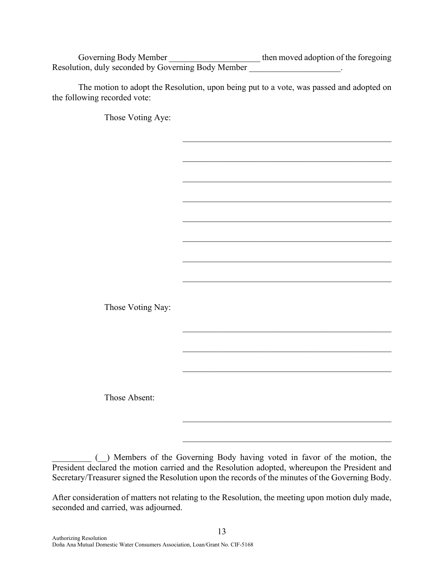Governing Body Member \_\_\_\_\_\_\_\_\_\_\_\_\_\_\_\_\_\_\_\_\_\_\_\_\_\_\_ then moved adoption of the foregoing Resolution, duly seconded by Governing Body Member

The motion to adopt the Resolution, upon being put to a vote, was passed and adopted on the following recorded vote:

Those Voting Aye:  $\mathcal{L}_\mathcal{L}$  $\mathcal{L}_\mathcal{L}$  $\mathcal{L}_\mathcal{L}$  $\mathcal{L}_\text{max}$  and  $\mathcal{L}_\text{max}$  and  $\mathcal{L}_\text{max}$  and  $\mathcal{L}_\text{max}$  and  $\mathcal{L}_\text{max}$  $\mathcal{L}_\mathcal{L}$  $\mathcal{L}_\mathcal{L}$ Those Voting Nay:  $\mathcal{L}_\mathcal{L}$  $\mathcal{L}_\text{max}$  and  $\mathcal{L}_\text{max}$  and  $\mathcal{L}_\text{max}$  and  $\mathcal{L}_\text{max}$  and  $\mathcal{L}_\text{max}$ Those Absent:  $\mathcal{L}_\text{max}$  and  $\mathcal{L}_\text{max}$  and  $\mathcal{L}_\text{max}$  and  $\mathcal{L}_\text{max}$  and  $\mathcal{L}_\text{max}$ 

\_\_\_\_\_\_\_\_\_ (\_\_) Members of the Governing Body having voted in favor of the motion, the President declared the motion carried and the Resolution adopted, whereupon the President and Secretary/Treasurer signed the Resolution upon the records of the minutes of the Governing Body.

 $\mathcal{L}_\mathcal{L}$ 

After consideration of matters not relating to the Resolution, the meeting upon motion duly made, seconded and carried, was adjourned.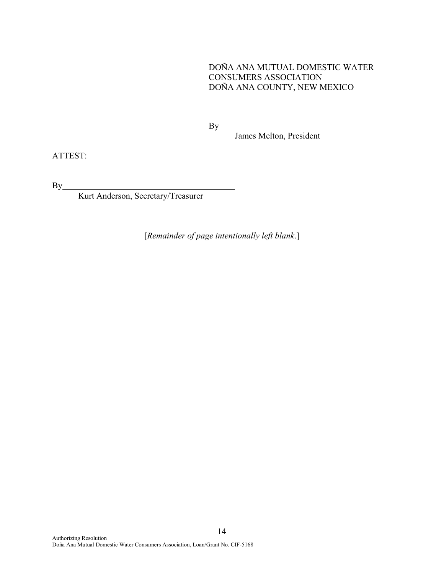DOÑA ANA MUTUAL DOMESTIC WATER CONSUMERS ASSOCIATION DOÑA ANA COUNTY, NEW MEXICO

By

James Melton, President

ATTEST:

By

Kurt Anderson, Secretary/Treasurer

[*Remainder of page intentionally left blank*.]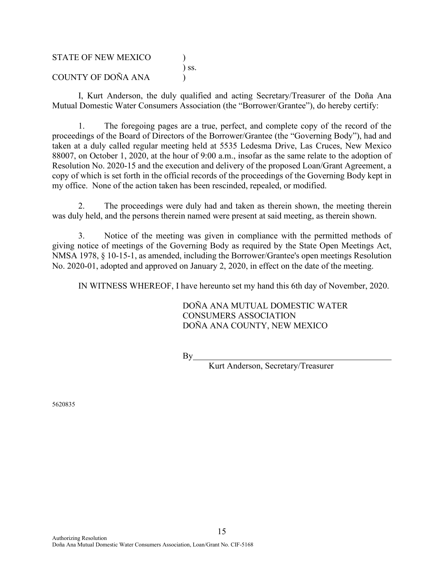STATE OF NEW MEXICO ) ) ss. COUNTY OF DOÑA ANA (1)

I, Kurt Anderson, the duly qualified and acting Secretary/Treasurer of the Doña Ana Mutual Domestic Water Consumers Association (the "Borrower/Grantee"), do hereby certify:

1. The foregoing pages are a true, perfect, and complete copy of the record of the proceedings of the Board of Directors of the Borrower/Grantee (the "Governing Body"), had and taken at a duly called regular meeting held at 5535 Ledesma Drive, Las Cruces, New Mexico 88007, on October 1, 2020, at the hour of 9:00 a.m., insofar as the same relate to the adoption of Resolution No. 2020-15 and the execution and delivery of the proposed Loan/Grant Agreement, a copy of which is set forth in the official records of the proceedings of the Governing Body kept in my office. None of the action taken has been rescinded, repealed, or modified.

2. The proceedings were duly had and taken as therein shown, the meeting therein was duly held, and the persons therein named were present at said meeting, as therein shown.

3. Notice of the meeting was given in compliance with the permitted methods of giving notice of meetings of the Governing Body as required by the State Open Meetings Act, NMSA 1978, § 10-15-1, as amended, including the Borrower/Grantee's open meetings Resolution No. 2020-01, adopted and approved on January 2, 2020, in effect on the date of the meeting.

IN WITNESS WHEREOF, I have hereunto set my hand this 6th day of November, 2020.

DOÑA ANA MUTUAL DOMESTIC WATER CONSUMERS ASSOCIATION DOÑA ANA COUNTY, NEW MEXICO

 $By$ 

Kurt Anderson, Secretary/Treasurer

5620835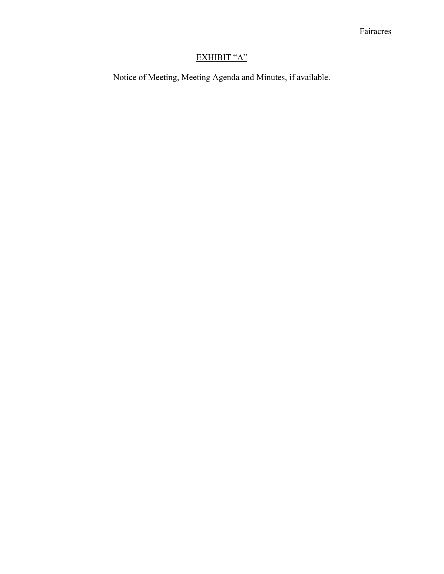# EXHIBIT "A"

Notice of Meeting, Meeting Agenda and Minutes, if available.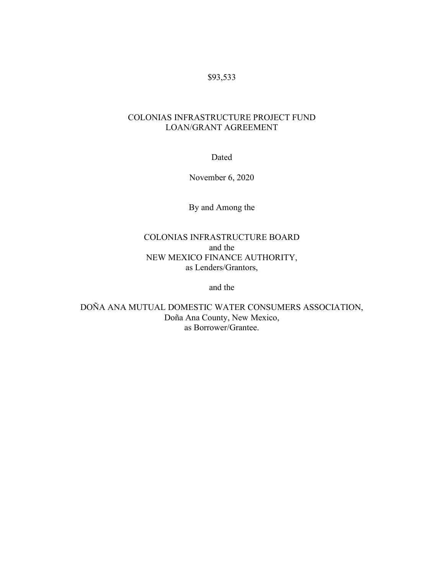# \$93,533

# COLONIAS INFRASTRUCTURE PROJECT FUND LOAN/GRANT AGREEMENT

Dated

November 6, 2020

By and Among the

# COLONIAS INFRASTRUCTURE BOARD and the NEW MEXICO FINANCE AUTHORITY, as Lenders/Grantors,

and the

DOÑA ANA MUTUAL DOMESTIC WATER CONSUMERS ASSOCIATION, Doña Ana County, New Mexico, as Borrower/Grantee.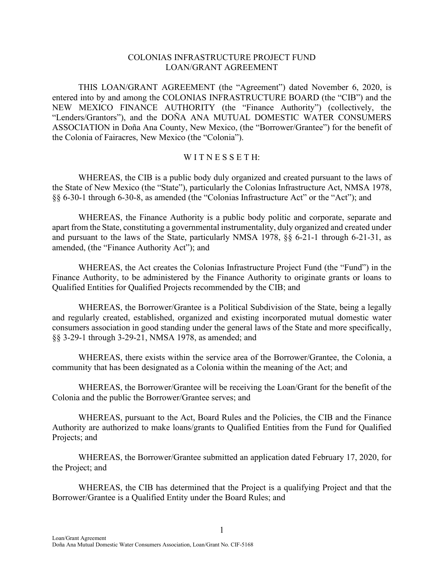#### COLONIAS INFRASTRUCTURE PROJECT FUND LOAN/GRANT AGREEMENT

THIS LOAN/GRANT AGREEMENT (the "Agreement") dated November 6, 2020, is entered into by and among the COLONIAS INFRASTRUCTURE BOARD (the "CIB") and the NEW MEXICO FINANCE AUTHORITY (the "Finance Authority") (collectively, the "Lenders/Grantors"), and the DOÑA ANA MUTUAL DOMESTIC WATER CONSUMERS ASSOCIATION in Doña Ana County, New Mexico, (the "Borrower/Grantee") for the benefit of the Colonia of Fairacres, New Mexico (the "Colonia").

#### WITNESSETH:

WHEREAS, the CIB is a public body duly organized and created pursuant to the laws of the State of New Mexico (the "State"), particularly the Colonias Infrastructure Act, NMSA 1978, §§ 6-30-1 through 6-30-8, as amended (the "Colonias Infrastructure Act" or the "Act"); and

WHEREAS, the Finance Authority is a public body politic and corporate, separate and apart from the State, constituting a governmental instrumentality, duly organized and created under and pursuant to the laws of the State, particularly NMSA 1978, §§ 6-21-1 through 6-21-31, as amended, (the "Finance Authority Act"); and

WHEREAS, the Act creates the Colonias Infrastructure Project Fund (the "Fund") in the Finance Authority, to be administered by the Finance Authority to originate grants or loans to Qualified Entities for Qualified Projects recommended by the CIB; and

WHEREAS, the Borrower/Grantee is a Political Subdivision of the State, being a legally and regularly created, established, organized and existing incorporated mutual domestic water consumers association in good standing under the general laws of the State and more specifically, §§ 3-29-1 through 3-29-21, NMSA 1978, as amended; and

WHEREAS, there exists within the service area of the Borrower/Grantee, the Colonia, a community that has been designated as a Colonia within the meaning of the Act; and

WHEREAS, the Borrower/Grantee will be receiving the Loan/Grant for the benefit of the Colonia and the public the Borrower/Grantee serves; and

WHEREAS, pursuant to the Act, Board Rules and the Policies, the CIB and the Finance Authority are authorized to make loans/grants to Qualified Entities from the Fund for Qualified Projects; and

WHEREAS, the Borrower/Grantee submitted an application dated February 17, 2020, for the Project; and

WHEREAS, the CIB has determined that the Project is a qualifying Project and that the Borrower/Grantee is a Qualified Entity under the Board Rules; and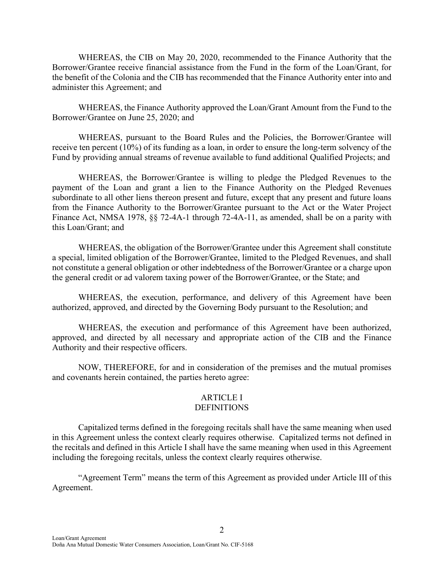WHEREAS, the CIB on May 20, 2020, recommended to the Finance Authority that the Borrower/Grantee receive financial assistance from the Fund in the form of the Loan/Grant, for the benefit of the Colonia and the CIB has recommended that the Finance Authority enter into and administer this Agreement; and

WHEREAS, the Finance Authority approved the Loan/Grant Amount from the Fund to the Borrower/Grantee on June 25, 2020; and

WHEREAS, pursuant to the Board Rules and the Policies, the Borrower/Grantee will receive ten percent (10%) of its funding as a loan, in order to ensure the long-term solvency of the Fund by providing annual streams of revenue available to fund additional Qualified Projects; and

WHEREAS, the Borrower/Grantee is willing to pledge the Pledged Revenues to the payment of the Loan and grant a lien to the Finance Authority on the Pledged Revenues subordinate to all other liens thereon present and future, except that any present and future loans from the Finance Authority to the Borrower/Grantee pursuant to the Act or the Water Project Finance Act, NMSA 1978, §§ 72-4A-1 through 72-4A-11, as amended, shall be on a parity with this Loan/Grant; and

WHEREAS, the obligation of the Borrower/Grantee under this Agreement shall constitute a special, limited obligation of the Borrower/Grantee, limited to the Pledged Revenues, and shall not constitute a general obligation or other indebtedness of the Borrower/Grantee or a charge upon the general credit or ad valorem taxing power of the Borrower/Grantee, or the State; and

WHEREAS, the execution, performance, and delivery of this Agreement have been authorized, approved, and directed by the Governing Body pursuant to the Resolution; and

WHEREAS, the execution and performance of this Agreement have been authorized, approved, and directed by all necessary and appropriate action of the CIB and the Finance Authority and their respective officers.

NOW, THEREFORE, for and in consideration of the premises and the mutual promises and covenants herein contained, the parties hereto agree:

# ARTICLE I

#### **DEFINITIONS**

Capitalized terms defined in the foregoing recitals shall have the same meaning when used in this Agreement unless the context clearly requires otherwise. Capitalized terms not defined in the recitals and defined in this Article I shall have the same meaning when used in this Agreement including the foregoing recitals, unless the context clearly requires otherwise.

"Agreement Term" means the term of this Agreement as provided under Article III of this Agreement.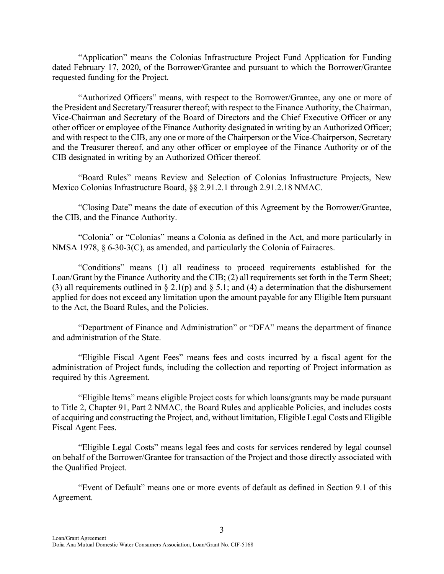"Application" means the Colonias Infrastructure Project Fund Application for Funding dated February 17, 2020, of the Borrower/Grantee and pursuant to which the Borrower/Grantee requested funding for the Project.

"Authorized Officers" means, with respect to the Borrower/Grantee, any one or more of the President and Secretary/Treasurer thereof; with respect to the Finance Authority, the Chairman, Vice-Chairman and Secretary of the Board of Directors and the Chief Executive Officer or any other officer or employee of the Finance Authority designated in writing by an Authorized Officer; and with respect to the CIB, any one or more of the Chairperson or the Vice-Chairperson, Secretary and the Treasurer thereof, and any other officer or employee of the Finance Authority or of the CIB designated in writing by an Authorized Officer thereof.

"Board Rules" means Review and Selection of Colonias Infrastructure Projects, New Mexico Colonias Infrastructure Board, §§ 2.91.2.1 through 2.91.2.18 NMAC.

"Closing Date" means the date of execution of this Agreement by the Borrower/Grantee, the CIB, and the Finance Authority.

"Colonia" or "Colonias" means a Colonia as defined in the Act, and more particularly in NMSA 1978, § 6-30-3(C), as amended, and particularly the Colonia of Fairacres.

"Conditions" means (1) all readiness to proceed requirements established for the Loan/Grant by the Finance Authority and the CIB; (2) all requirements set forth in the Term Sheet; (3) all requirements outlined in  $\S 2.1(p)$  and  $\S 5.1$ ; and (4) a determination that the disbursement applied for does not exceed any limitation upon the amount payable for any Eligible Item pursuant to the Act, the Board Rules, and the Policies.

"Department of Finance and Administration" or "DFA" means the department of finance and administration of the State.

"Eligible Fiscal Agent Fees" means fees and costs incurred by a fiscal agent for the administration of Project funds, including the collection and reporting of Project information as required by this Agreement.

"Eligible Items" means eligible Project costs for which loans/grants may be made pursuant to Title 2, Chapter 91, Part 2 NMAC, the Board Rules and applicable Policies, and includes costs of acquiring and constructing the Project, and, without limitation, Eligible Legal Costs and Eligible Fiscal Agent Fees.

"Eligible Legal Costs" means legal fees and costs for services rendered by legal counsel on behalf of the Borrower/Grantee for transaction of the Project and those directly associated with the Qualified Project.

"Event of Default" means one or more events of default as defined in Section 9.1 of this Agreement.

3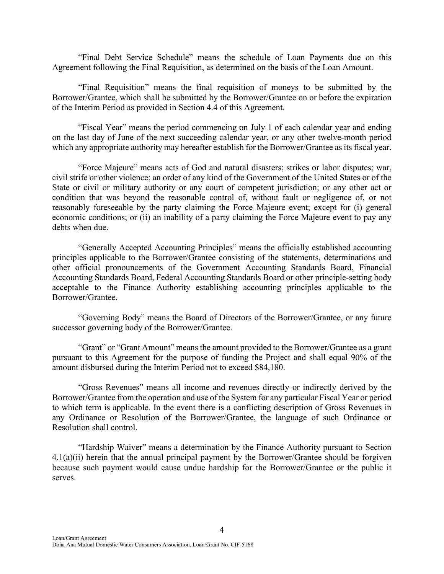"Final Debt Service Schedule" means the schedule of Loan Payments due on this Agreement following the Final Requisition, as determined on the basis of the Loan Amount.

"Final Requisition" means the final requisition of moneys to be submitted by the Borrower/Grantee, which shall be submitted by the Borrower/Grantee on or before the expiration of the Interim Period as provided in Section 4.4 of this Agreement.

"Fiscal Year" means the period commencing on July 1 of each calendar year and ending on the last day of June of the next succeeding calendar year, or any other twelve-month period which any appropriate authority may hereafter establish for the Borrower/Grantee as its fiscal year.

"Force Majeure" means acts of God and natural disasters; strikes or labor disputes; war, civil strife or other violence; an order of any kind of the Government of the United States or of the State or civil or military authority or any court of competent jurisdiction; or any other act or condition that was beyond the reasonable control of, without fault or negligence of, or not reasonably foreseeable by the party claiming the Force Majeure event; except for (i) general economic conditions; or (ii) an inability of a party claiming the Force Majeure event to pay any debts when due.

"Generally Accepted Accounting Principles" means the officially established accounting principles applicable to the Borrower/Grantee consisting of the statements, determinations and other official pronouncements of the Government Accounting Standards Board, Financial Accounting Standards Board, Federal Accounting Standards Board or other principle-setting body acceptable to the Finance Authority establishing accounting principles applicable to the Borrower/Grantee.

"Governing Body" means the Board of Directors of the Borrower/Grantee, or any future successor governing body of the Borrower/Grantee.

"Grant" or "Grant Amount" means the amount provided to the Borrower/Grantee as a grant pursuant to this Agreement for the purpose of funding the Project and shall equal 90% of the amount disbursed during the Interim Period not to exceed \$84,180.

"Gross Revenues" means all income and revenues directly or indirectly derived by the Borrower/Grantee from the operation and use of the System for any particular Fiscal Year or period to which term is applicable. In the event there is a conflicting description of Gross Revenues in any Ordinance or Resolution of the Borrower/Grantee, the language of such Ordinance or Resolution shall control.

"Hardship Waiver" means a determination by the Finance Authority pursuant to Section  $4.1(a)(ii)$  herein that the annual principal payment by the Borrower/Grantee should be forgiven because such payment would cause undue hardship for the Borrower/Grantee or the public it serves.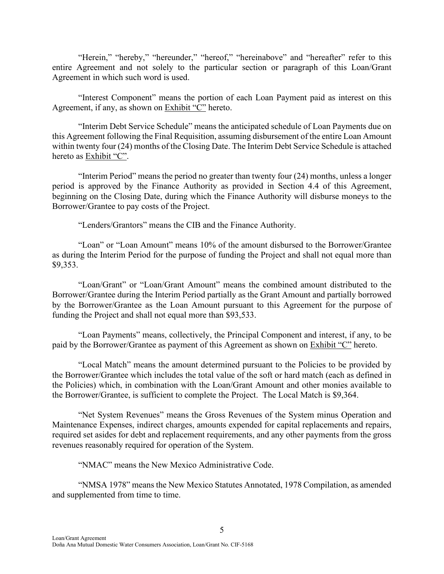"Herein," "hereby," "hereunder," "hereof," "hereinabove" and "hereafter" refer to this entire Agreement and not solely to the particular section or paragraph of this Loan/Grant Agreement in which such word is used.

"Interest Component" means the portion of each Loan Payment paid as interest on this Agreement, if any, as shown on Exhibit "C" hereto.

"Interim Debt Service Schedule" means the anticipated schedule of Loan Payments due on this Agreement following the Final Requisition, assuming disbursement of the entire Loan Amount within twenty four (24) months of the Closing Date. The Interim Debt Service Schedule is attached hereto as Exhibit "C".

"Interim Period" means the period no greater than twenty four (24) months, unless a longer period is approved by the Finance Authority as provided in Section 4.4 of this Agreement, beginning on the Closing Date, during which the Finance Authority will disburse moneys to the Borrower/Grantee to pay costs of the Project.

"Lenders/Grantors" means the CIB and the Finance Authority.

"Loan" or "Loan Amount" means 10% of the amount disbursed to the Borrower/Grantee as during the Interim Period for the purpose of funding the Project and shall not equal more than \$9,353.

"Loan/Grant" or "Loan/Grant Amount" means the combined amount distributed to the Borrower/Grantee during the Interim Period partially as the Grant Amount and partially borrowed by the Borrower/Grantee as the Loan Amount pursuant to this Agreement for the purpose of funding the Project and shall not equal more than \$93,533.

"Loan Payments" means, collectively, the Principal Component and interest, if any, to be paid by the Borrower/Grantee as payment of this Agreement as shown on Exhibit "C" hereto.

"Local Match" means the amount determined pursuant to the Policies to be provided by the Borrower/Grantee which includes the total value of the soft or hard match (each as defined in the Policies) which, in combination with the Loan/Grant Amount and other monies available to the Borrower/Grantee, is sufficient to complete the Project. The Local Match is \$9,364.

"Net System Revenues" means the Gross Revenues of the System minus Operation and Maintenance Expenses, indirect charges, amounts expended for capital replacements and repairs, required set asides for debt and replacement requirements, and any other payments from the gross revenues reasonably required for operation of the System.

"NMAC" means the New Mexico Administrative Code.

"NMSA 1978" means the New Mexico Statutes Annotated, 1978 Compilation, as amended and supplemented from time to time.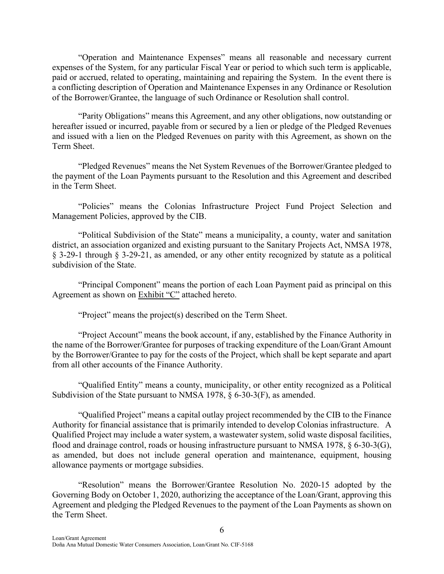"Operation and Maintenance Expenses" means all reasonable and necessary current expenses of the System, for any particular Fiscal Year or period to which such term is applicable, paid or accrued, related to operating, maintaining and repairing the System. In the event there is a conflicting description of Operation and Maintenance Expenses in any Ordinance or Resolution of the Borrower/Grantee, the language of such Ordinance or Resolution shall control.

"Parity Obligations" means this Agreement, and any other obligations, now outstanding or hereafter issued or incurred, payable from or secured by a lien or pledge of the Pledged Revenues and issued with a lien on the Pledged Revenues on parity with this Agreement, as shown on the Term Sheet.

"Pledged Revenues" means the Net System Revenues of the Borrower/Grantee pledged to the payment of the Loan Payments pursuant to the Resolution and this Agreement and described in the Term Sheet.

"Policies" means the Colonias Infrastructure Project Fund Project Selection and Management Policies, approved by the CIB.

"Political Subdivision of the State" means a municipality, a county, water and sanitation district, an association organized and existing pursuant to the Sanitary Projects Act, NMSA 1978, § 3-29-1 through § 3-29-21, as amended, or any other entity recognized by statute as a political subdivision of the State.

"Principal Component" means the portion of each Loan Payment paid as principal on this Agreement as shown on Exhibit "C" attached hereto.

"Project" means the project(s) described on the Term Sheet.

"Project Account" means the book account, if any, established by the Finance Authority in the name of the Borrower/Grantee for purposes of tracking expenditure of the Loan/Grant Amount by the Borrower/Grantee to pay for the costs of the Project, which shall be kept separate and apart from all other accounts of the Finance Authority.

"Qualified Entity" means a county, municipality, or other entity recognized as a Political Subdivision of the State pursuant to NMSA 1978, § 6-30-3(F), as amended.

"Qualified Project" means a capital outlay project recommended by the CIB to the Finance Authority for financial assistance that is primarily intended to develop Colonias infrastructure. A Qualified Project may include a water system, a wastewater system, solid waste disposal facilities, flood and drainage control, roads or housing infrastructure pursuant to NMSA 1978, § 6-30-3(G), as amended, but does not include general operation and maintenance, equipment, housing allowance payments or mortgage subsidies.

"Resolution" means the Borrower/Grantee Resolution No. 2020-15 adopted by the Governing Body on October 1, 2020, authorizing the acceptance of the Loan/Grant, approving this Agreement and pledging the Pledged Revenues to the payment of the Loan Payments as shown on the Term Sheet.

6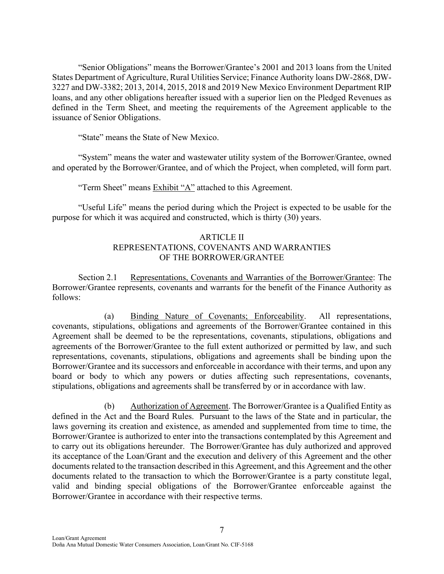"Senior Obligations" means the Borrower/Grantee's 2001 and 2013 loans from the United States Department of Agriculture, Rural Utilities Service; Finance Authority loans DW-2868, DW-3227 and DW-3382; 2013, 2014, 2015, 2018 and 2019 New Mexico Environment Department RIP loans, and any other obligations hereafter issued with a superior lien on the Pledged Revenues as defined in the Term Sheet, and meeting the requirements of the Agreement applicable to the issuance of Senior Obligations.

"State" means the State of New Mexico.

"System" means the water and wastewater utility system of the Borrower/Grantee, owned and operated by the Borrower/Grantee, and of which the Project, when completed, will form part.

"Term Sheet" means Exhibit "A" attached to this Agreement.

"Useful Life" means the period during which the Project is expected to be usable for the purpose for which it was acquired and constructed, which is thirty (30) years.

## ARTICLE II REPRESENTATIONS, COVENANTS AND WARRANTIES OF THE BORROWER/GRANTEE

Section 2.1 Representations, Covenants and Warranties of the Borrower/Grantee: The Borrower/Grantee represents, covenants and warrants for the benefit of the Finance Authority as follows:

(a) Binding Nature of Covenants; Enforceability. All representations, covenants, stipulations, obligations and agreements of the Borrower/Grantee contained in this Agreement shall be deemed to be the representations, covenants, stipulations, obligations and agreements of the Borrower/Grantee to the full extent authorized or permitted by law, and such representations, covenants, stipulations, obligations and agreements shall be binding upon the Borrower/Grantee and its successors and enforceable in accordance with their terms, and upon any board or body to which any powers or duties affecting such representations, covenants, stipulations, obligations and agreements shall be transferred by or in accordance with law.

(b) Authorization of Agreement. The Borrower/Grantee is a Qualified Entity as defined in the Act and the Board Rules. Pursuant to the laws of the State and in particular, the laws governing its creation and existence, as amended and supplemented from time to time, the Borrower/Grantee is authorized to enter into the transactions contemplated by this Agreement and to carry out its obligations hereunder. The Borrower/Grantee has duly authorized and approved its acceptance of the Loan/Grant and the execution and delivery of this Agreement and the other documents related to the transaction described in this Agreement, and this Agreement and the other documents related to the transaction to which the Borrower/Grantee is a party constitute legal, valid and binding special obligations of the Borrower/Grantee enforceable against the Borrower/Grantee in accordance with their respective terms.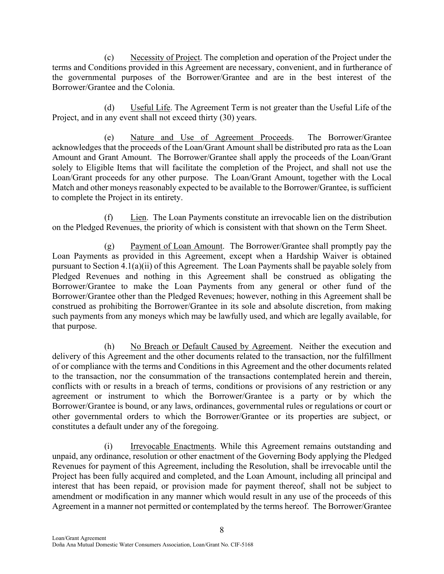(c) Necessity of Project. The completion and operation of the Project under the terms and Conditions provided in this Agreement are necessary, convenient, and in furtherance of the governmental purposes of the Borrower/Grantee and are in the best interest of the Borrower/Grantee and the Colonia.

(d) Useful Life. The Agreement Term is not greater than the Useful Life of the Project, and in any event shall not exceed thirty (30) years.

 (e) Nature and Use of Agreement Proceeds. The Borrower/Grantee acknowledges that the proceeds of the Loan/Grant Amount shall be distributed pro rata as the Loan Amount and Grant Amount. The Borrower/Grantee shall apply the proceeds of the Loan/Grant solely to Eligible Items that will facilitate the completion of the Project, and shall not use the Loan/Grant proceeds for any other purpose. The Loan/Grant Amount, together with the Local Match and other moneys reasonably expected to be available to the Borrower/Grantee, is sufficient to complete the Project in its entirety.

(f) Lien. The Loan Payments constitute an irrevocable lien on the distribution on the Pledged Revenues, the priority of which is consistent with that shown on the Term Sheet.

(g) Payment of Loan Amount. The Borrower/Grantee shall promptly pay the Loan Payments as provided in this Agreement, except when a Hardship Waiver is obtained pursuant to Section 4.1(a)(ii) of this Agreement. The Loan Payments shall be payable solely from Pledged Revenues and nothing in this Agreement shall be construed as obligating the Borrower/Grantee to make the Loan Payments from any general or other fund of the Borrower/Grantee other than the Pledged Revenues; however, nothing in this Agreement shall be construed as prohibiting the Borrower/Grantee in its sole and absolute discretion, from making such payments from any moneys which may be lawfully used, and which are legally available, for that purpose.

(h) No Breach or Default Caused by Agreement. Neither the execution and delivery of this Agreement and the other documents related to the transaction, nor the fulfillment of or compliance with the terms and Conditions in this Agreement and the other documents related to the transaction, nor the consummation of the transactions contemplated herein and therein, conflicts with or results in a breach of terms, conditions or provisions of any restriction or any agreement or instrument to which the Borrower/Grantee is a party or by which the Borrower/Grantee is bound, or any laws, ordinances, governmental rules or regulations or court or other governmental orders to which the Borrower/Grantee or its properties are subject, or constitutes a default under any of the foregoing.

(i) Irrevocable Enactments. While this Agreement remains outstanding and unpaid, any ordinance, resolution or other enactment of the Governing Body applying the Pledged Revenues for payment of this Agreement, including the Resolution, shall be irrevocable until the Project has been fully acquired and completed, and the Loan Amount, including all principal and interest that has been repaid, or provision made for payment thereof, shall not be subject to amendment or modification in any manner which would result in any use of the proceeds of this Agreement in a manner not permitted or contemplated by the terms hereof. The Borrower/Grantee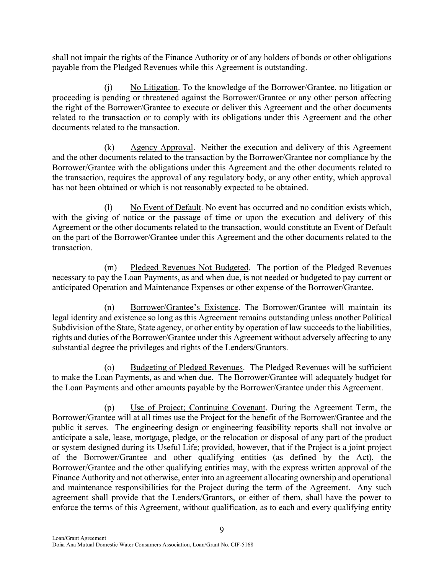shall not impair the rights of the Finance Authority or of any holders of bonds or other obligations payable from the Pledged Revenues while this Agreement is outstanding.

(j) No Litigation. To the knowledge of the Borrower/Grantee, no litigation or proceeding is pending or threatened against the Borrower/Grantee or any other person affecting the right of the Borrower/Grantee to execute or deliver this Agreement and the other documents related to the transaction or to comply with its obligations under this Agreement and the other documents related to the transaction.

(k) Agency Approval. Neither the execution and delivery of this Agreement and the other documents related to the transaction by the Borrower/Grantee nor compliance by the Borrower/Grantee with the obligations under this Agreement and the other documents related to the transaction, requires the approval of any regulatory body, or any other entity, which approval has not been obtained or which is not reasonably expected to be obtained.

(l) No Event of Default. No event has occurred and no condition exists which, with the giving of notice or the passage of time or upon the execution and delivery of this Agreement or the other documents related to the transaction, would constitute an Event of Default on the part of the Borrower/Grantee under this Agreement and the other documents related to the transaction.

(m) Pledged Revenues Not Budgeted. The portion of the Pledged Revenues necessary to pay the Loan Payments, as and when due, is not needed or budgeted to pay current or anticipated Operation and Maintenance Expenses or other expense of the Borrower/Grantee.

(n) Borrower/Grantee's Existence. The Borrower/Grantee will maintain its legal identity and existence so long as this Agreement remains outstanding unless another Political Subdivision of the State, State agency, or other entity by operation of law succeeds to the liabilities, rights and duties of the Borrower/Grantee under this Agreement without adversely affecting to any substantial degree the privileges and rights of the Lenders/Grantors.

(o) Budgeting of Pledged Revenues. The Pledged Revenues will be sufficient to make the Loan Payments, as and when due. The Borrower/Grantee will adequately budget for the Loan Payments and other amounts payable by the Borrower/Grantee under this Agreement.

(p) Use of Project; Continuing Covenant. During the Agreement Term, the Borrower/Grantee will at all times use the Project for the benefit of the Borrower/Grantee and the public it serves. The engineering design or engineering feasibility reports shall not involve or anticipate a sale, lease, mortgage, pledge, or the relocation or disposal of any part of the product or system designed during its Useful Life; provided, however, that if the Project is a joint project of the Borrower/Grantee and other qualifying entities (as defined by the Act), the Borrower/Grantee and the other qualifying entities may, with the express written approval of the Finance Authority and not otherwise, enter into an agreement allocating ownership and operational and maintenance responsibilities for the Project during the term of the Agreement. Any such agreement shall provide that the Lenders/Grantors, or either of them, shall have the power to enforce the terms of this Agreement, without qualification, as to each and every qualifying entity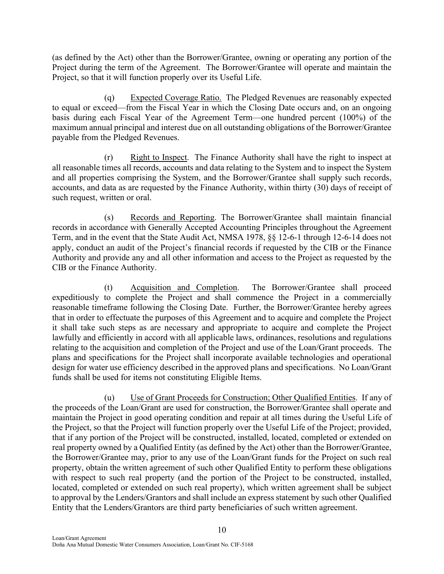(as defined by the Act) other than the Borrower/Grantee, owning or operating any portion of the Project during the term of the Agreement. The Borrower/Grantee will operate and maintain the Project, so that it will function properly over its Useful Life.

(q) Expected Coverage Ratio. The Pledged Revenues are reasonably expected to equal or exceed—from the Fiscal Year in which the Closing Date occurs and, on an ongoing basis during each Fiscal Year of the Agreement Term—one hundred percent (100%) of the maximum annual principal and interest due on all outstanding obligations of the Borrower/Grantee payable from the Pledged Revenues.

 $(r)$  Right to Inspect. The Finance Authority shall have the right to inspect at all reasonable times all records, accounts and data relating to the System and to inspect the System and all properties comprising the System, and the Borrower/Grantee shall supply such records, accounts, and data as are requested by the Finance Authority, within thirty (30) days of receipt of such request, written or oral.

(s) Records and Reporting. The Borrower/Grantee shall maintain financial records in accordance with Generally Accepted Accounting Principles throughout the Agreement Term, and in the event that the State Audit Act, NMSA 1978, §§ 12-6-1 through 12-6-14 does not apply, conduct an audit of the Project's financial records if requested by the CIB or the Finance Authority and provide any and all other information and access to the Project as requested by the CIB or the Finance Authority.

(t) Acquisition and Completion. The Borrower/Grantee shall proceed expeditiously to complete the Project and shall commence the Project in a commercially reasonable timeframe following the Closing Date. Further, the Borrower/Grantee hereby agrees that in order to effectuate the purposes of this Agreement and to acquire and complete the Project it shall take such steps as are necessary and appropriate to acquire and complete the Project lawfully and efficiently in accord with all applicable laws, ordinances, resolutions and regulations relating to the acquisition and completion of the Project and use of the Loan/Grant proceeds. The plans and specifications for the Project shall incorporate available technologies and operational design for water use efficiency described in the approved plans and specifications. No Loan/Grant funds shall be used for items not constituting Eligible Items.

(u) Use of Grant Proceeds for Construction; Other Qualified Entities. If any of the proceeds of the Loan/Grant are used for construction, the Borrower/Grantee shall operate and maintain the Project in good operating condition and repair at all times during the Useful Life of the Project, so that the Project will function properly over the Useful Life of the Project; provided, that if any portion of the Project will be constructed, installed, located, completed or extended on real property owned by a Qualified Entity (as defined by the Act) other than the Borrower/Grantee, the Borrower/Grantee may, prior to any use of the Loan/Grant funds for the Project on such real property, obtain the written agreement of such other Qualified Entity to perform these obligations with respect to such real property (and the portion of the Project to be constructed, installed, located, completed or extended on such real property), which written agreement shall be subject to approval by the Lenders/Grantors and shall include an express statement by such other Qualified Entity that the Lenders/Grantors are third party beneficiaries of such written agreement.

10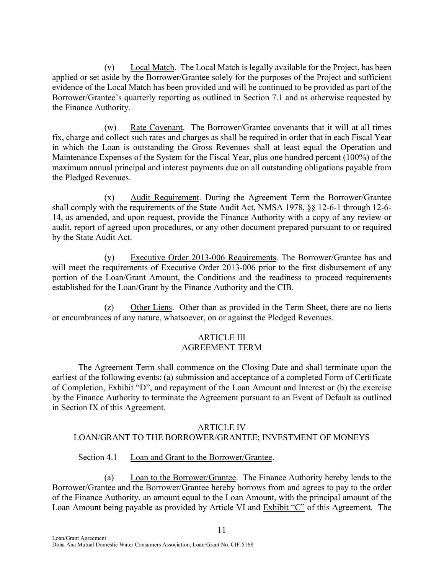(v) Local Match. The Local Match is legally available for the Project, has been applied or set aside by the Borrower/Grantee solely for the purposes of the Project and sufficient evidence of the Local Match has been provided and will be continued to be provided as part of the Borrower/Grantee's quarterly reporting as outlined in Section 7.1 and as otherwise requested by the Finance Authority.

(w) Rate Covenant. The Borrower/Grantee covenants that it will at all times fix, charge and collect such rates and charges as shall be required in order that in each Fiscal Year in which the Loan is outstanding the Gross Revenues shall at least equal the Operation and Maintenance Expenses of the System for the Fiscal Year, plus one hundred percent (100%) of the maximum annual principal and interest payments due on all outstanding obligations payable from the Pledged Revenues.

(x) Audit Requirement. During the Agreement Term the Borrower/Grantee shall comply with the requirements of the State Audit Act, NMSA 1978, §§ 12-6-1 through 12-6- 14, as amended, and upon request, provide the Finance Authority with a copy of any review or audit, report of agreed upon procedures, or any other document prepared pursuant to or required by the State Audit Act.

(y) Executive Order 2013-006 Requirements. The Borrower/Grantee has and will meet the requirements of Executive Order 2013-006 prior to the first disbursement of any portion of the Loan/Grant Amount, the Conditions and the readiness to proceed requirements established for the Loan/Grant by the Finance Authority and the CIB.

(z) Other Liens. Other than as provided in the Term Sheet, there are no liens or encumbrances of any nature, whatsoever, on or against the Pledged Revenues.

## ARTICLE III AGREEMENT TERM

The Agreement Term shall commence on the Closing Date and shall terminate upon the earliest of the following events: (a) submission and acceptance of a completed Form of Certificate of Completion, Exhibit "D", and repayment of the Loan Amount and Interest or (b) the exercise by the Finance Authority to terminate the Agreement pursuant to an Event of Default as outlined in Section IX of this Agreement.

### ARTICLE IV

# LOAN/GRANT TO THE BORROWER/GRANTEE; INVESTMENT OF MONEYS

### Section 4.1 Loan and Grant to the Borrower/Grantee.

(a) Loan to the Borrower/Grantee. The Finance Authority hereby lends to the Borrower/Grantee and the Borrower/Grantee hereby borrows from and agrees to pay to the order of the Finance Authority, an amount equal to the Loan Amount, with the principal amount of the Loan Amount being payable as provided by Article VI and Exhibit "C" of this Agreement. The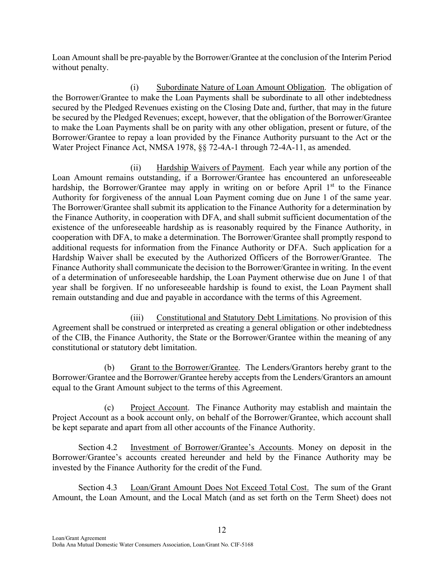Loan Amount shall be pre-payable by the Borrower/Grantee at the conclusion of the Interim Period without penalty.

(i) Subordinate Nature of Loan Amount Obligation. The obligation of the Borrower/Grantee to make the Loan Payments shall be subordinate to all other indebtedness secured by the Pledged Revenues existing on the Closing Date and, further, that may in the future be secured by the Pledged Revenues; except, however, that the obligation of the Borrower/Grantee to make the Loan Payments shall be on parity with any other obligation, present or future, of the Borrower/Grantee to repay a loan provided by the Finance Authority pursuant to the Act or the Water Project Finance Act, NMSA 1978, §§ 72-4A-1 through 72-4A-11, as amended.

(ii) Hardship Waivers of Payment. Each year while any portion of the Loan Amount remains outstanding, if a Borrower/Grantee has encountered an unforeseeable hardship, the Borrower/Grantee may apply in writing on or before April  $1<sup>st</sup>$  to the Finance Authority for forgiveness of the annual Loan Payment coming due on June 1 of the same year. The Borrower/Grantee shall submit its application to the Finance Authority for a determination by the Finance Authority, in cooperation with DFA, and shall submit sufficient documentation of the existence of the unforeseeable hardship as is reasonably required by the Finance Authority, in cooperation with DFA, to make a determination. The Borrower/Grantee shall promptly respond to additional requests for information from the Finance Authority or DFA. Such application for a Hardship Waiver shall be executed by the Authorized Officers of the Borrower/Grantee. The Finance Authority shall communicate the decision to the Borrower/Grantee in writing. In the event of a determination of unforeseeable hardship, the Loan Payment otherwise due on June 1 of that year shall be forgiven. If no unforeseeable hardship is found to exist, the Loan Payment shall remain outstanding and due and payable in accordance with the terms of this Agreement.

(iii) Constitutional and Statutory Debt Limitations. No provision of this Agreement shall be construed or interpreted as creating a general obligation or other indebtedness of the CIB, the Finance Authority, the State or the Borrower/Grantee within the meaning of any constitutional or statutory debt limitation.

(b) Grant to the Borrower/Grantee. The Lenders/Grantors hereby grant to the Borrower/Grantee and the Borrower/Grantee hereby accepts from the Lenders/Grantors an amount equal to the Grant Amount subject to the terms of this Agreement.

(c) Project Account. The Finance Authority may establish and maintain the Project Account as a book account only, on behalf of the Borrower/Grantee, which account shall be kept separate and apart from all other accounts of the Finance Authority.

Section 4.2 Investment of Borrower/Grantee's Accounts. Money on deposit in the Borrower/Grantee's accounts created hereunder and held by the Finance Authority may be invested by the Finance Authority for the credit of the Fund.

Section 4.3 Loan/Grant Amount Does Not Exceed Total Cost. The sum of the Grant Amount, the Loan Amount, and the Local Match (and as set forth on the Term Sheet) does not

12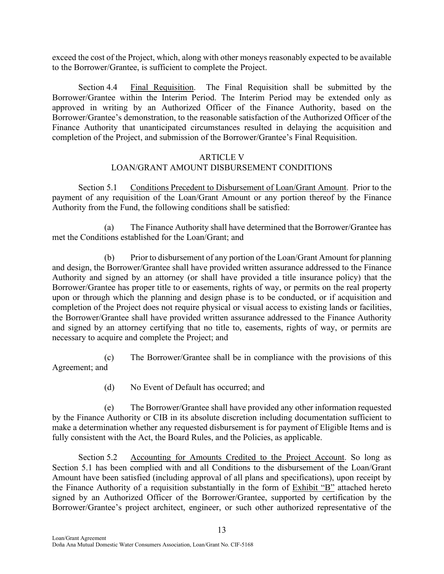exceed the cost of the Project, which, along with other moneys reasonably expected to be available to the Borrower/Grantee, is sufficient to complete the Project.

Section 4.4 Final Requisition. The Final Requisition shall be submitted by the Borrower/Grantee within the Interim Period. The Interim Period may be extended only as approved in writing by an Authorized Officer of the Finance Authority, based on the Borrower/Grantee's demonstration, to the reasonable satisfaction of the Authorized Officer of the Finance Authority that unanticipated circumstances resulted in delaying the acquisition and completion of the Project, and submission of the Borrower/Grantee's Final Requisition.

## ARTICLE V LOAN/GRANT AMOUNT DISBURSEMENT CONDITIONS

Section 5.1 Conditions Precedent to Disbursement of Loan/Grant Amount. Prior to the payment of any requisition of the Loan/Grant Amount or any portion thereof by the Finance Authority from the Fund, the following conditions shall be satisfied:

(a) The Finance Authority shall have determined that the Borrower/Grantee has met the Conditions established for the Loan/Grant; and

(b) Prior to disbursement of any portion of the Loan/Grant Amount for planning and design, the Borrower/Grantee shall have provided written assurance addressed to the Finance Authority and signed by an attorney (or shall have provided a title insurance policy) that the Borrower/Grantee has proper title to or easements, rights of way, or permits on the real property upon or through which the planning and design phase is to be conducted, or if acquisition and completion of the Project does not require physical or visual access to existing lands or facilities, the Borrower/Grantee shall have provided written assurance addressed to the Finance Authority and signed by an attorney certifying that no title to, easements, rights of way, or permits are necessary to acquire and complete the Project; and

(c) The Borrower/Grantee shall be in compliance with the provisions of this Agreement; and

(d) No Event of Default has occurred; and

(e) The Borrower/Grantee shall have provided any other information requested by the Finance Authority or CIB in its absolute discretion including documentation sufficient to make a determination whether any requested disbursement is for payment of Eligible Items and is fully consistent with the Act, the Board Rules, and the Policies, as applicable.

Section 5.2 Accounting for Amounts Credited to the Project Account. So long as Section 5.1 has been complied with and all Conditions to the disbursement of the Loan/Grant Amount have been satisfied (including approval of all plans and specifications), upon receipt by the Finance Authority of a requisition substantially in the form of Exhibit "B" attached hereto signed by an Authorized Officer of the Borrower/Grantee, supported by certification by the Borrower/Grantee's project architect, engineer, or such other authorized representative of the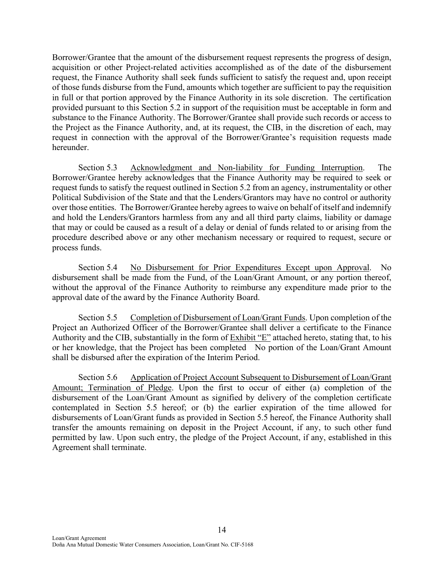Borrower/Grantee that the amount of the disbursement request represents the progress of design, acquisition or other Project-related activities accomplished as of the date of the disbursement request, the Finance Authority shall seek funds sufficient to satisfy the request and, upon receipt of those funds disburse from the Fund, amounts which together are sufficient to pay the requisition in full or that portion approved by the Finance Authority in its sole discretion. The certification provided pursuant to this Section 5.2 in support of the requisition must be acceptable in form and substance to the Finance Authority. The Borrower/Grantee shall provide such records or access to the Project as the Finance Authority, and, at its request, the CIB, in the discretion of each, may request in connection with the approval of the Borrower/Grantee's requisition requests made hereunder.

Section 5.3 Acknowledgment and Non-liability for Funding Interruption. The Borrower/Grantee hereby acknowledges that the Finance Authority may be required to seek or request funds to satisfy the request outlined in Section 5.2 from an agency, instrumentality or other Political Subdivision of the State and that the Lenders/Grantors may have no control or authority over those entities. The Borrower/Grantee hereby agrees to waive on behalf of itself and indemnify and hold the Lenders/Grantors harmless from any and all third party claims, liability or damage that may or could be caused as a result of a delay or denial of funds related to or arising from the procedure described above or any other mechanism necessary or required to request, secure or process funds.

Section 5.4 No Disbursement for Prior Expenditures Except upon Approval. No disbursement shall be made from the Fund, of the Loan/Grant Amount, or any portion thereof, without the approval of the Finance Authority to reimburse any expenditure made prior to the approval date of the award by the Finance Authority Board.

Section 5.5 Completion of Disbursement of Loan/Grant Funds. Upon completion of the Project an Authorized Officer of the Borrower/Grantee shall deliver a certificate to the Finance Authority and the CIB, substantially in the form of Exhibit "E" attached hereto, stating that, to his or her knowledge, that the Project has been completed No portion of the Loan/Grant Amount shall be disbursed after the expiration of the Interim Period.

Section 5.6 Application of Project Account Subsequent to Disbursement of Loan/Grant Amount; Termination of Pledge. Upon the first to occur of either (a) completion of the disbursement of the Loan/Grant Amount as signified by delivery of the completion certificate contemplated in Section 5.5 hereof; or (b) the earlier expiration of the time allowed for disbursements of Loan/Grant funds as provided in Section 5.5 hereof, the Finance Authority shall transfer the amounts remaining on deposit in the Project Account, if any, to such other fund permitted by law. Upon such entry, the pledge of the Project Account, if any, established in this Agreement shall terminate.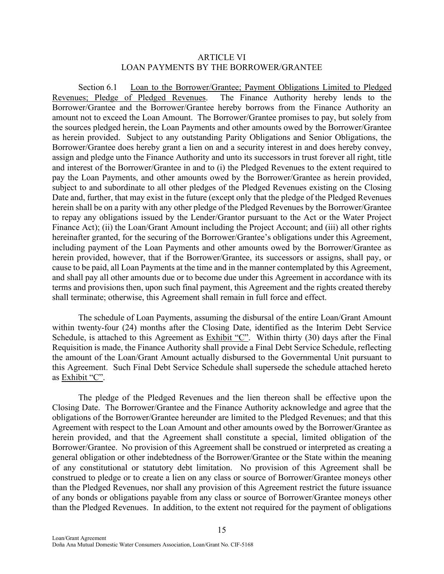#### ARTICLE VI LOAN PAYMENTS BY THE BORROWER/GRANTEE

Section 6.1 Loan to the Borrower/Grantee; Payment Obligations Limited to Pledged Revenues; Pledge of Pledged Revenues. The Finance Authority hereby lends to the Borrower/Grantee and the Borrower/Grantee hereby borrows from the Finance Authority an amount not to exceed the Loan Amount. The Borrower/Grantee promises to pay, but solely from the sources pledged herein, the Loan Payments and other amounts owed by the Borrower/Grantee as herein provided. Subject to any outstanding Parity Obligations and Senior Obligations, the Borrower/Grantee does hereby grant a lien on and a security interest in and does hereby convey, assign and pledge unto the Finance Authority and unto its successors in trust forever all right, title and interest of the Borrower/Grantee in and to (i) the Pledged Revenues to the extent required to pay the Loan Payments, and other amounts owed by the Borrower/Grantee as herein provided, subject to and subordinate to all other pledges of the Pledged Revenues existing on the Closing Date and, further, that may exist in the future (except only that the pledge of the Pledged Revenues herein shall be on a parity with any other pledge of the Pledged Revenues by the Borrower/Grantee to repay any obligations issued by the Lender/Grantor pursuant to the Act or the Water Project Finance Act); (ii) the Loan/Grant Amount including the Project Account; and (iii) all other rights hereinafter granted, for the securing of the Borrower/Grantee's obligations under this Agreement, including payment of the Loan Payments and other amounts owed by the Borrower/Grantee as herein provided, however, that if the Borrower/Grantee, its successors or assigns, shall pay, or cause to be paid, all Loan Payments at the time and in the manner contemplated by this Agreement, and shall pay all other amounts due or to become due under this Agreement in accordance with its terms and provisions then, upon such final payment, this Agreement and the rights created thereby shall terminate; otherwise, this Agreement shall remain in full force and effect.

The schedule of Loan Payments, assuming the disbursal of the entire Loan/Grant Amount within twenty-four (24) months after the Closing Date, identified as the Interim Debt Service Schedule, is attached to this Agreement as Exhibit "C". Within thirty (30) days after the Final Requisition is made, the Finance Authority shall provide a Final Debt Service Schedule, reflecting the amount of the Loan/Grant Amount actually disbursed to the Governmental Unit pursuant to this Agreement. Such Final Debt Service Schedule shall supersede the schedule attached hereto as Exhibit "C".

The pledge of the Pledged Revenues and the lien thereon shall be effective upon the Closing Date. The Borrower/Grantee and the Finance Authority acknowledge and agree that the obligations of the Borrower/Grantee hereunder are limited to the Pledged Revenues; and that this Agreement with respect to the Loan Amount and other amounts owed by the Borrower/Grantee as herein provided, and that the Agreement shall constitute a special, limited obligation of the Borrower/Grantee. No provision of this Agreement shall be construed or interpreted as creating a general obligation or other indebtedness of the Borrower/Grantee or the State within the meaning of any constitutional or statutory debt limitation. No provision of this Agreement shall be construed to pledge or to create a lien on any class or source of Borrower/Grantee moneys other than the Pledged Revenues, nor shall any provision of this Agreement restrict the future issuance of any bonds or obligations payable from any class or source of Borrower/Grantee moneys other than the Pledged Revenues. In addition, to the extent not required for the payment of obligations

15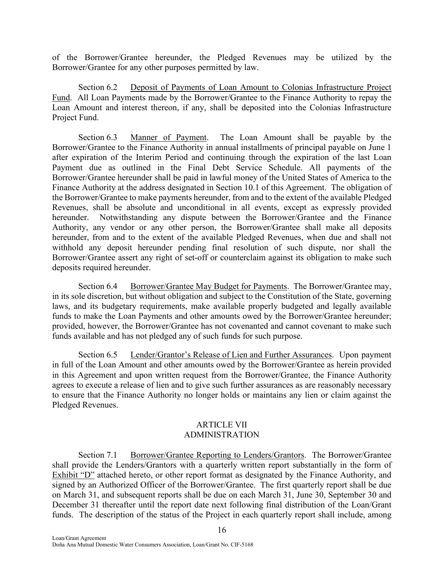of the Borrower/Grantee hereunder, the Pledged Revenues may be utilized by the Borrower/Grantee for any other purposes permitted by law.

Section 6.2 Deposit of Payments of Loan Amount to Colonias Infrastructure Project Fund. All Loan Payments made by the Borrower/Grantee to the Finance Authority to repay the Loan Amount and interest thereon, if any, shall be deposited into the Colonias Infrastructure Project Fund.

Section 6.3 Manner of Payment. The Loan Amount shall be payable by the Borrower/Grantee to the Finance Authority in annual installments of principal payable on June 1 after expiration of the Interim Period and continuing through the expiration of the last Loan Payment due as outlined in the Final Debt Service Schedule. All payments of the Borrower/Grantee hereunder shall be paid in lawful money of the United States of America to the Finance Authority at the address designated in Section 10.1 of this Agreement. The obligation of the Borrower/Grantee to make payments hereunder, from and to the extent of the available Pledged Revenues, shall be absolute and unconditional in all events, except as expressly provided hereunder. Notwithstanding any dispute between the Borrower/Grantee and the Finance Authority, any vendor or any other person, the Borrower/Grantee shall make all deposits hereunder, from and to the extent of the available Pledged Revenues, when due and shall not withhold any deposit hereunder pending final resolution of such dispute, nor shall the Borrower/Grantee assert any right of set-off or counterclaim against its obligation to make such deposits required hereunder.

Section 6.4 Borrower/Grantee May Budget for Payments. The Borrower/Grantee may, in its sole discretion, but without obligation and subject to the Constitution of the State, governing laws, and its budgetary requirements, make available properly budgeted and legally available funds to make the Loan Payments and other amounts owed by the Borrower/Grantee hereunder; provided, however, the Borrower/Grantee has not covenanted and cannot covenant to make such funds available and has not pledged any of such funds for such purpose.

Section 6.5 Lender/Grantor's Release of Lien and Further Assurances. Upon payment in full of the Loan Amount and other amounts owed by the Borrower/Grantee as herein provided in this Agreement and upon written request from the Borrower/Grantee, the Finance Authority agrees to execute a release of lien and to give such further assurances as are reasonably necessary to ensure that the Finance Authority no longer holds or maintains any lien or claim against the Pledged Revenues.

#### ARTICLE VII ADMINISTRATION

Section 7.1 Borrower/Grantee Reporting to Lenders/Grantors. The Borrower/Grantee shall provide the Lenders/Grantors with a quarterly written report substantially in the form of Exhibit "D" attached hereto, or other report format as designated by the Finance Authority, and signed by an Authorized Officer of the Borrower/Grantee. The first quarterly report shall be due on March 31, and subsequent reports shall be due on each March 31, June 30, September 30 and December 31 thereafter until the report date next following final distribution of the Loan/Grant funds. The description of the status of the Project in each quarterly report shall include, among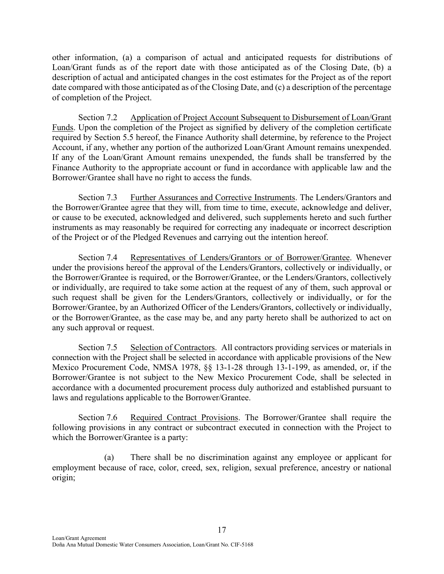other information, (a) a comparison of actual and anticipated requests for distributions of Loan/Grant funds as of the report date with those anticipated as of the Closing Date, (b) a description of actual and anticipated changes in the cost estimates for the Project as of the report date compared with those anticipated as of the Closing Date, and (c) a description of the percentage of completion of the Project.

Section 7.2 Application of Project Account Subsequent to Disbursement of Loan/Grant Funds. Upon the completion of the Project as signified by delivery of the completion certificate required by Section 5.5 hereof, the Finance Authority shall determine, by reference to the Project Account, if any, whether any portion of the authorized Loan/Grant Amount remains unexpended. If any of the Loan/Grant Amount remains unexpended, the funds shall be transferred by the Finance Authority to the appropriate account or fund in accordance with applicable law and the Borrower/Grantee shall have no right to access the funds.

Section 7.3 Further Assurances and Corrective Instruments. The Lenders/Grantors and the Borrower/Grantee agree that they will, from time to time, execute, acknowledge and deliver, or cause to be executed, acknowledged and delivered, such supplements hereto and such further instruments as may reasonably be required for correcting any inadequate or incorrect description of the Project or of the Pledged Revenues and carrying out the intention hereof.

Section 7.4 Representatives of Lenders/Grantors or of Borrower/Grantee. Whenever under the provisions hereof the approval of the Lenders/Grantors, collectively or individually, or the Borrower/Grantee is required, or the Borrower/Grantee, or the Lenders/Grantors, collectively or individually, are required to take some action at the request of any of them, such approval or such request shall be given for the Lenders/Grantors, collectively or individually, or for the Borrower/Grantee, by an Authorized Officer of the Lenders/Grantors, collectively or individually, or the Borrower/Grantee, as the case may be, and any party hereto shall be authorized to act on any such approval or request.

Section 7.5 Selection of Contractors. All contractors providing services or materials in connection with the Project shall be selected in accordance with applicable provisions of the New Mexico Procurement Code, NMSA 1978, §§ 13-1-28 through 13-1-199, as amended, or, if the Borrower/Grantee is not subject to the New Mexico Procurement Code, shall be selected in accordance with a documented procurement process duly authorized and established pursuant to laws and regulations applicable to the Borrower/Grantee.

Section 7.6 Required Contract Provisions. The Borrower/Grantee shall require the following provisions in any contract or subcontract executed in connection with the Project to which the Borrower/Grantee is a party:

(a) There shall be no discrimination against any employee or applicant for employment because of race, color, creed, sex, religion, sexual preference, ancestry or national origin;

17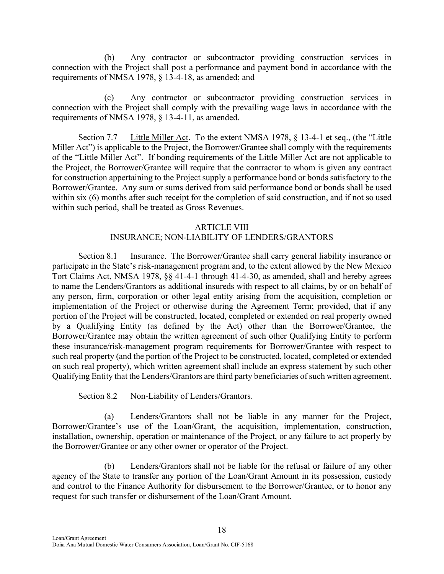(b) Any contractor or subcontractor providing construction services in connection with the Project shall post a performance and payment bond in accordance with the requirements of NMSA 1978, § 13-4-18, as amended; and

(c) Any contractor or subcontractor providing construction services in connection with the Project shall comply with the prevailing wage laws in accordance with the requirements of NMSA 1978, § 13-4-11, as amended.

Section 7.7 Little Miller Act. To the extent NMSA 1978, § 13-4-1 et seq., (the "Little Miller Act") is applicable to the Project, the Borrower/Grantee shall comply with the requirements of the "Little Miller Act". If bonding requirements of the Little Miller Act are not applicable to the Project, the Borrower/Grantee will require that the contractor to whom is given any contract for construction appertaining to the Project supply a performance bond or bonds satisfactory to the Borrower/Grantee. Any sum or sums derived from said performance bond or bonds shall be used within six (6) months after such receipt for the completion of said construction, and if not so used within such period, shall be treated as Gross Revenues.

#### ARTICLE VIII

#### INSURANCE; NON-LIABILITY OF LENDERS/GRANTORS

Section 8.1 Insurance. The Borrower/Grantee shall carry general liability insurance or participate in the State's risk-management program and, to the extent allowed by the New Mexico Tort Claims Act, NMSA 1978, §§ 41-4-1 through 41-4-30, as amended, shall and hereby agrees to name the Lenders/Grantors as additional insureds with respect to all claims, by or on behalf of any person, firm, corporation or other legal entity arising from the acquisition, completion or implementation of the Project or otherwise during the Agreement Term; provided, that if any portion of the Project will be constructed, located, completed or extended on real property owned by a Qualifying Entity (as defined by the Act) other than the Borrower/Grantee, the Borrower/Grantee may obtain the written agreement of such other Qualifying Entity to perform these insurance/risk-management program requirements for Borrower/Grantee with respect to such real property (and the portion of the Project to be constructed, located, completed or extended on such real property), which written agreement shall include an express statement by such other Qualifying Entity that the Lenders/Grantors are third party beneficiaries of such written agreement.

#### Section 8.2 Non-Liability of Lenders/Grantors.

(a) Lenders/Grantors shall not be liable in any manner for the Project, Borrower/Grantee's use of the Loan/Grant, the acquisition, implementation, construction, installation, ownership, operation or maintenance of the Project, or any failure to act properly by the Borrower/Grantee or any other owner or operator of the Project.

(b) Lenders/Grantors shall not be liable for the refusal or failure of any other agency of the State to transfer any portion of the Loan/Grant Amount in its possession, custody and control to the Finance Authority for disbursement to the Borrower/Grantee, or to honor any request for such transfer or disbursement of the Loan/Grant Amount.

18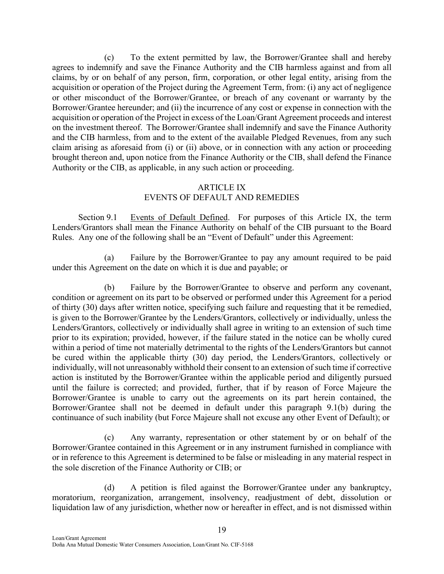(c) To the extent permitted by law, the Borrower/Grantee shall and hereby agrees to indemnify and save the Finance Authority and the CIB harmless against and from all claims, by or on behalf of any person, firm, corporation, or other legal entity, arising from the acquisition or operation of the Project during the Agreement Term, from: (i) any act of negligence or other misconduct of the Borrower/Grantee, or breach of any covenant or warranty by the Borrower/Grantee hereunder; and (ii) the incurrence of any cost or expense in connection with the acquisition or operation of the Project in excess of the Loan/Grant Agreement proceeds and interest on the investment thereof. The Borrower/Grantee shall indemnify and save the Finance Authority and the CIB harmless, from and to the extent of the available Pledged Revenues, from any such claim arising as aforesaid from (i) or (ii) above, or in connection with any action or proceeding brought thereon and, upon notice from the Finance Authority or the CIB, shall defend the Finance Authority or the CIB, as applicable, in any such action or proceeding.

# ARTICLE IX EVENTS OF DEFAULT AND REMEDIES

Section 9.1 Events of Default Defined. For purposes of this Article IX, the term Lenders/Grantors shall mean the Finance Authority on behalf of the CIB pursuant to the Board Rules. Any one of the following shall be an "Event of Default" under this Agreement:

(a) Failure by the Borrower/Grantee to pay any amount required to be paid under this Agreement on the date on which it is due and payable; or

(b) Failure by the Borrower/Grantee to observe and perform any covenant, condition or agreement on its part to be observed or performed under this Agreement for a period of thirty (30) days after written notice, specifying such failure and requesting that it be remedied, is given to the Borrower/Grantee by the Lenders/Grantors, collectively or individually, unless the Lenders/Grantors, collectively or individually shall agree in writing to an extension of such time prior to its expiration; provided, however, if the failure stated in the notice can be wholly cured within a period of time not materially detrimental to the rights of the Lenders/Grantors but cannot be cured within the applicable thirty (30) day period, the Lenders/Grantors, collectively or individually, will not unreasonably withhold their consent to an extension of such time if corrective action is instituted by the Borrower/Grantee within the applicable period and diligently pursued until the failure is corrected; and provided, further, that if by reason of Force Majeure the Borrower/Grantee is unable to carry out the agreements on its part herein contained, the Borrower/Grantee shall not be deemed in default under this paragraph 9.1(b) during the continuance of such inability (but Force Majeure shall not excuse any other Event of Default); or

(c) Any warranty, representation or other statement by or on behalf of the Borrower/Grantee contained in this Agreement or in any instrument furnished in compliance with or in reference to this Agreement is determined to be false or misleading in any material respect in the sole discretion of the Finance Authority or CIB; or

(d) A petition is filed against the Borrower/Grantee under any bankruptcy, moratorium, reorganization, arrangement, insolvency, readjustment of debt, dissolution or liquidation law of any jurisdiction, whether now or hereafter in effect, and is not dismissed within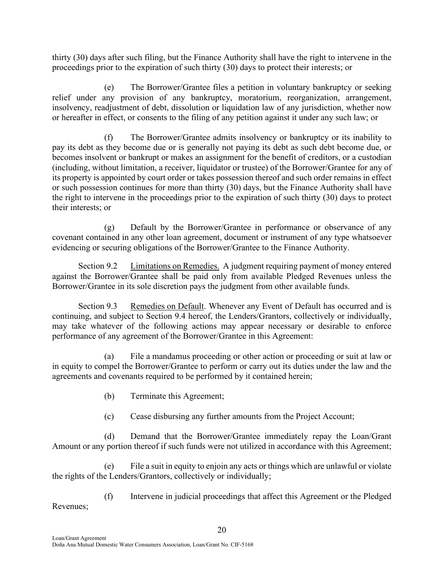thirty (30) days after such filing, but the Finance Authority shall have the right to intervene in the proceedings prior to the expiration of such thirty (30) days to protect their interests; or

(e) The Borrower/Grantee files a petition in voluntary bankruptcy or seeking relief under any provision of any bankruptcy, moratorium, reorganization, arrangement, insolvency, readjustment of debt, dissolution or liquidation law of any jurisdiction, whether now or hereafter in effect, or consents to the filing of any petition against it under any such law; or

(f) The Borrower/Grantee admits insolvency or bankruptcy or its inability to pay its debt as they become due or is generally not paying its debt as such debt become due, or becomes insolvent or bankrupt or makes an assignment for the benefit of creditors, or a custodian (including, without limitation, a receiver, liquidator or trustee) of the Borrower/Grantee for any of its property is appointed by court order or takes possession thereof and such order remains in effect or such possession continues for more than thirty (30) days, but the Finance Authority shall have the right to intervene in the proceedings prior to the expiration of such thirty (30) days to protect their interests; or

(g) Default by the Borrower/Grantee in performance or observance of any covenant contained in any other loan agreement, document or instrument of any type whatsoever evidencing or securing obligations of the Borrower/Grantee to the Finance Authority.

Section 9.2 Limitations on Remedies. A judgment requiring payment of money entered against the Borrower/Grantee shall be paid only from available Pledged Revenues unless the Borrower/Grantee in its sole discretion pays the judgment from other available funds.

Section 9.3 Remedies on Default. Whenever any Event of Default has occurred and is continuing, and subject to Section 9.4 hereof, the Lenders/Grantors, collectively or individually, may take whatever of the following actions may appear necessary or desirable to enforce performance of any agreement of the Borrower/Grantee in this Agreement:

(a) File a mandamus proceeding or other action or proceeding or suit at law or in equity to compel the Borrower/Grantee to perform or carry out its duties under the law and the agreements and covenants required to be performed by it contained herein;

- (b) Terminate this Agreement;
- (c) Cease disbursing any further amounts from the Project Account;

(d) Demand that the Borrower/Grantee immediately repay the Loan/Grant Amount or any portion thereof if such funds were not utilized in accordance with this Agreement;

(e) File a suit in equity to enjoin any acts or things which are unlawful or violate the rights of the Lenders/Grantors, collectively or individually;

(f) Intervene in judicial proceedings that affect this Agreement or the Pledged Revenues;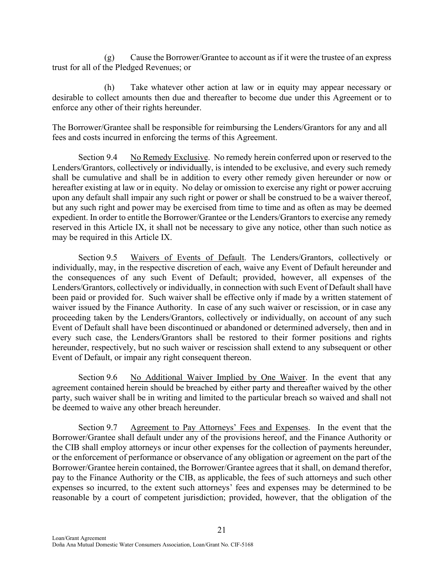(g) Cause the Borrower/Grantee to account as if it were the trustee of an express trust for all of the Pledged Revenues; or

(h) Take whatever other action at law or in equity may appear necessary or desirable to collect amounts then due and thereafter to become due under this Agreement or to enforce any other of their rights hereunder.

The Borrower/Grantee shall be responsible for reimbursing the Lenders/Grantors for any and all fees and costs incurred in enforcing the terms of this Agreement.

Section 9.4 No Remedy Exclusive. No remedy herein conferred upon or reserved to the Lenders/Grantors, collectively or individually, is intended to be exclusive, and every such remedy shall be cumulative and shall be in addition to every other remedy given hereunder or now or hereafter existing at law or in equity. No delay or omission to exercise any right or power accruing upon any default shall impair any such right or power or shall be construed to be a waiver thereof, but any such right and power may be exercised from time to time and as often as may be deemed expedient. In order to entitle the Borrower/Grantee or the Lenders/Grantors to exercise any remedy reserved in this Article IX, it shall not be necessary to give any notice, other than such notice as may be required in this Article IX.

Section 9.5 Waivers of Events of Default. The Lenders/Grantors, collectively or individually, may, in the respective discretion of each, waive any Event of Default hereunder and the consequences of any such Event of Default; provided, however, all expenses of the Lenders/Grantors, collectively or individually, in connection with such Event of Default shall have been paid or provided for. Such waiver shall be effective only if made by a written statement of waiver issued by the Finance Authority. In case of any such waiver or rescission, or in case any proceeding taken by the Lenders/Grantors, collectively or individually, on account of any such Event of Default shall have been discontinued or abandoned or determined adversely, then and in every such case, the Lenders/Grantors shall be restored to their former positions and rights hereunder, respectively, but no such waiver or rescission shall extend to any subsequent or other Event of Default, or impair any right consequent thereon.

Section 9.6 No Additional Waiver Implied by One Waiver. In the event that any agreement contained herein should be breached by either party and thereafter waived by the other party, such waiver shall be in writing and limited to the particular breach so waived and shall not be deemed to waive any other breach hereunder.

Section 9.7 Agreement to Pay Attorneys' Fees and Expenses. In the event that the Borrower/Grantee shall default under any of the provisions hereof, and the Finance Authority or the CIB shall employ attorneys or incur other expenses for the collection of payments hereunder, or the enforcement of performance or observance of any obligation or agreement on the part of the Borrower/Grantee herein contained, the Borrower/Grantee agrees that it shall, on demand therefor, pay to the Finance Authority or the CIB, as applicable, the fees of such attorneys and such other expenses so incurred, to the extent such attorneys' fees and expenses may be determined to be reasonable by a court of competent jurisdiction; provided, however, that the obligation of the

21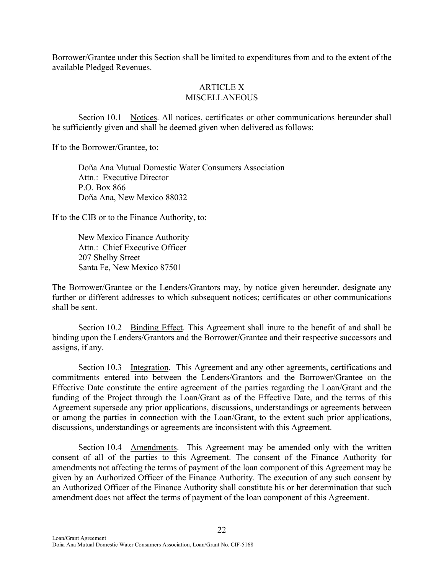Borrower/Grantee under this Section shall be limited to expenditures from and to the extent of the available Pledged Revenues.

#### ARTICLE X **MISCELLANEOUS**

Section 10.1 Notices. All notices, certificates or other communications hereunder shall be sufficiently given and shall be deemed given when delivered as follows:

If to the Borrower/Grantee, to:

Doña Ana Mutual Domestic Water Consumers Association Attn.: Executive Director P.O. Box 866 Doña Ana, New Mexico 88032

If to the CIB or to the Finance Authority, to:

New Mexico Finance Authority Attn.: Chief Executive Officer 207 Shelby Street Santa Fe, New Mexico 87501

The Borrower/Grantee or the Lenders/Grantors may, by notice given hereunder, designate any further or different addresses to which subsequent notices; certificates or other communications shall be sent.

Section 10.2 Binding Effect. This Agreement shall inure to the benefit of and shall be binding upon the Lenders/Grantors and the Borrower/Grantee and their respective successors and assigns, if any.

Section 10.3 Integration. This Agreement and any other agreements, certifications and commitments entered into between the Lenders/Grantors and the Borrower/Grantee on the Effective Date constitute the entire agreement of the parties regarding the Loan/Grant and the funding of the Project through the Loan/Grant as of the Effective Date, and the terms of this Agreement supersede any prior applications, discussions, understandings or agreements between or among the parties in connection with the Loan/Grant, to the extent such prior applications, discussions, understandings or agreements are inconsistent with this Agreement.

Section 10.4 Amendments. This Agreement may be amended only with the written consent of all of the parties to this Agreement. The consent of the Finance Authority for amendments not affecting the terms of payment of the loan component of this Agreement may be given by an Authorized Officer of the Finance Authority. The execution of any such consent by an Authorized Officer of the Finance Authority shall constitute his or her determination that such amendment does not affect the terms of payment of the loan component of this Agreement.

22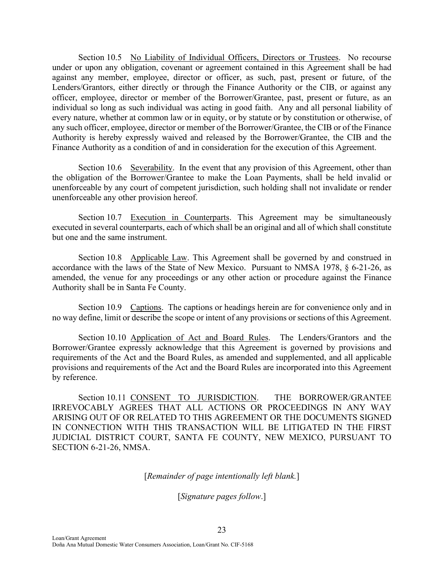Section 10.5 No Liability of Individual Officers, Directors or Trustees. No recourse under or upon any obligation, covenant or agreement contained in this Agreement shall be had against any member, employee, director or officer, as such, past, present or future, of the Lenders/Grantors, either directly or through the Finance Authority or the CIB, or against any officer, employee, director or member of the Borrower/Grantee, past, present or future, as an individual so long as such individual was acting in good faith. Any and all personal liability of every nature, whether at common law or in equity, or by statute or by constitution or otherwise, of any such officer, employee, director or member of the Borrower/Grantee, the CIB or of the Finance Authority is hereby expressly waived and released by the Borrower/Grantee, the CIB and the Finance Authority as a condition of and in consideration for the execution of this Agreement.

Section 10.6 Severability. In the event that any provision of this Agreement, other than the obligation of the Borrower/Grantee to make the Loan Payments, shall be held invalid or unenforceable by any court of competent jurisdiction, such holding shall not invalidate or render unenforceable any other provision hereof.

Section 10.7 Execution in Counterparts. This Agreement may be simultaneously executed in several counterparts, each of which shall be an original and all of which shall constitute but one and the same instrument.

Section 10.8 Applicable Law. This Agreement shall be governed by and construed in accordance with the laws of the State of New Mexico. Pursuant to NMSA 1978, § 6-21-26, as amended, the venue for any proceedings or any other action or procedure against the Finance Authority shall be in Santa Fe County.

Section 10.9 Captions. The captions or headings herein are for convenience only and in no way define, limit or describe the scope or intent of any provisions or sections of this Agreement.

Section 10.10 Application of Act and Board Rules. The Lenders/Grantors and the Borrower/Grantee expressly acknowledge that this Agreement is governed by provisions and requirements of the Act and the Board Rules, as amended and supplemented, and all applicable provisions and requirements of the Act and the Board Rules are incorporated into this Agreement by reference.

Section 10.11 CONSENT TO JURISDICTION. THE BORROWER/GRANTEE IRREVOCABLY AGREES THAT ALL ACTIONS OR PROCEEDINGS IN ANY WAY ARISING OUT OF OR RELATED TO THIS AGREEMENT OR THE DOCUMENTS SIGNED IN CONNECTION WITH THIS TRANSACTION WILL BE LITIGATED IN THE FIRST JUDICIAL DISTRICT COURT, SANTA FE COUNTY, NEW MEXICO, PURSUANT TO SECTION 6-21-26, NMSA.

[*Remainder of page intentionally left blank.*]

[*Signature pages follow*.]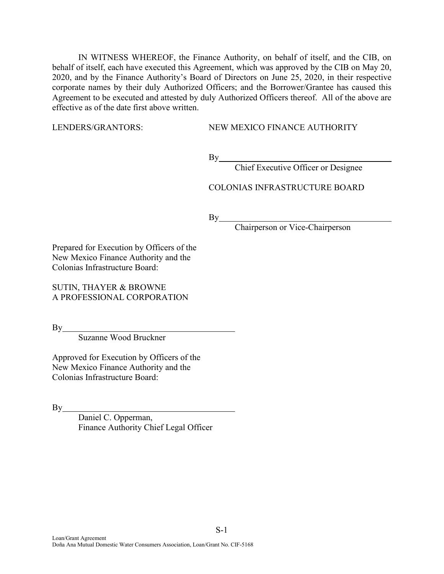IN WITNESS WHEREOF, the Finance Authority, on behalf of itself, and the CIB, on behalf of itself, each have executed this Agreement, which was approved by the CIB on May 20, 2020, and by the Finance Authority's Board of Directors on June 25, 2020, in their respective corporate names by their duly Authorized Officers; and the Borrower/Grantee has caused this Agreement to be executed and attested by duly Authorized Officers thereof. All of the above are effective as of the date first above written.

LENDERS/GRANTORS: NEW MEXICO FINANCE AUTHORITY

 $By$ <sub>\_\_\_\_</sub>

Chief Executive Officer or Designee

COLONIAS INFRASTRUCTURE BOARD

 $By$ 

Chairperson or Vice-Chairperson

Prepared for Execution by Officers of the New Mexico Finance Authority and the Colonias Infrastructure Board:

SUTIN, THAYER & BROWNE A PROFESSIONAL CORPORATION

By

Suzanne Wood Bruckner

Approved for Execution by Officers of the New Mexico Finance Authority and the Colonias Infrastructure Board:

 $By$ 

Daniel C. Opperman, Finance Authority Chief Legal Officer

S-1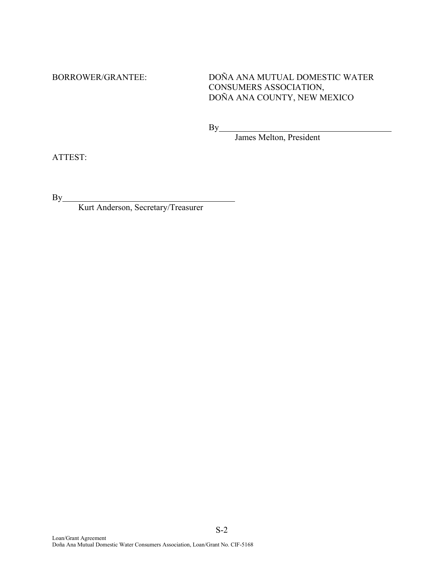BORROWER/GRANTEE: DOÑA ANA MUTUAL DOMESTIC WATER CONSUMERS ASSOCIATION, DOÑA ANA COUNTY, NEW MEXICO

By

James Melton, President

ATTEST:

 $By$ 

Kurt Anderson, Secretary/Treasurer

S-2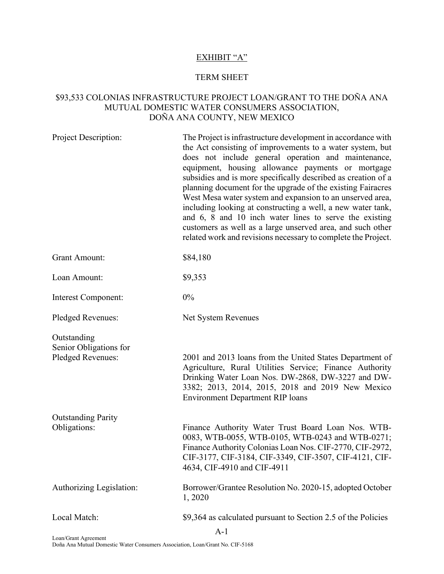# EXHIBIT "A"

#### TERM SHEET

# \$93,533 COLONIAS INFRASTRUCTURE PROJECT LOAN/GRANT TO THE DOÑA ANA MUTUAL DOMESTIC WATER CONSUMERS ASSOCIATION, DOÑA ANA COUNTY, NEW MEXICO

| <b>Project Description:</b>                                | The Project is infrastructure development in accordance with<br>the Act consisting of improvements to a water system, but<br>does not include general operation and maintenance,<br>equipment, housing allowance payments or mortgage<br>subsidies and is more specifically described as creation of a<br>planning document for the upgrade of the existing Fairacres<br>West Mesa water system and expansion to an unserved area,<br>including looking at constructing a well, a new water tank,<br>and 6, 8 and 10 inch water lines to serve the existing<br>customers as well as a large unserved area, and such other<br>related work and revisions necessary to complete the Project. |
|------------------------------------------------------------|--------------------------------------------------------------------------------------------------------------------------------------------------------------------------------------------------------------------------------------------------------------------------------------------------------------------------------------------------------------------------------------------------------------------------------------------------------------------------------------------------------------------------------------------------------------------------------------------------------------------------------------------------------------------------------------------|
| <b>Grant Amount:</b>                                       | \$84,180                                                                                                                                                                                                                                                                                                                                                                                                                                                                                                                                                                                                                                                                                   |
| Loan Amount:                                               | \$9,353                                                                                                                                                                                                                                                                                                                                                                                                                                                                                                                                                                                                                                                                                    |
| Interest Component:                                        | 0%                                                                                                                                                                                                                                                                                                                                                                                                                                                                                                                                                                                                                                                                                         |
| Pledged Revenues:                                          | Net System Revenues                                                                                                                                                                                                                                                                                                                                                                                                                                                                                                                                                                                                                                                                        |
| Outstanding<br>Senior Obligations for<br>Pledged Revenues: | 2001 and 2013 loans from the United States Department of<br>Agriculture, Rural Utilities Service; Finance Authority<br>Drinking Water Loan Nos. DW-2868, DW-3227 and DW-<br>3382; 2013, 2014, 2015, 2018 and 2019 New Mexico<br><b>Environment Department RIP loans</b>                                                                                                                                                                                                                                                                                                                                                                                                                    |
| <b>Outstanding Parity</b><br>Obligations:                  | Finance Authority Water Trust Board Loan Nos. WTB-<br>0083, WTB-0055, WTB-0105, WTB-0243 and WTB-0271;<br>Finance Authority Colonias Loan Nos. CIF-2770, CIF-2972,<br>CIF-3177, CIF-3184, CIF-3349, CIF-3507, CIF-4121, CIF-<br>4634, CIF-4910 and CIF-4911                                                                                                                                                                                                                                                                                                                                                                                                                                |
| Authorizing Legislation:                                   | Borrower/Grantee Resolution No. 2020-15, adopted October<br>1,2020                                                                                                                                                                                                                                                                                                                                                                                                                                                                                                                                                                                                                         |
| Local Match:                                               | \$9,364 as calculated pursuant to Section 2.5 of the Policies<br>$A-1$                                                                                                                                                                                                                                                                                                                                                                                                                                                                                                                                                                                                                     |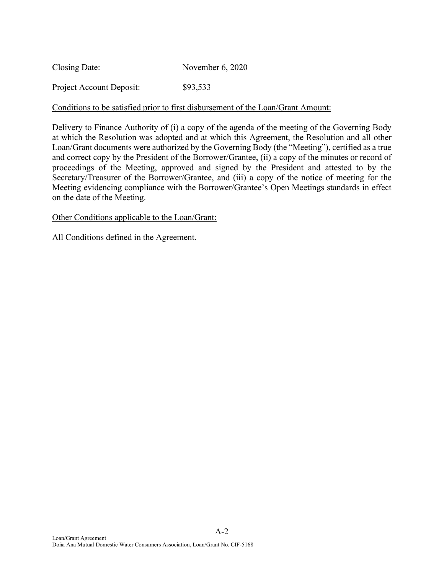| Closing Date: | November 6, 2020 |
|---------------|------------------|
|---------------|------------------|

Project Account Deposit: \$93,533

## Conditions to be satisfied prior to first disbursement of the Loan/Grant Amount:

Delivery to Finance Authority of (i) a copy of the agenda of the meeting of the Governing Body at which the Resolution was adopted and at which this Agreement, the Resolution and all other Loan/Grant documents were authorized by the Governing Body (the "Meeting"), certified as a true and correct copy by the President of the Borrower/Grantee, (ii) a copy of the minutes or record of proceedings of the Meeting, approved and signed by the President and attested to by the Secretary/Treasurer of the Borrower/Grantee, and (iii) a copy of the notice of meeting for the Meeting evidencing compliance with the Borrower/Grantee's Open Meetings standards in effect on the date of the Meeting.

### Other Conditions applicable to the Loan/Grant:

All Conditions defined in the Agreement.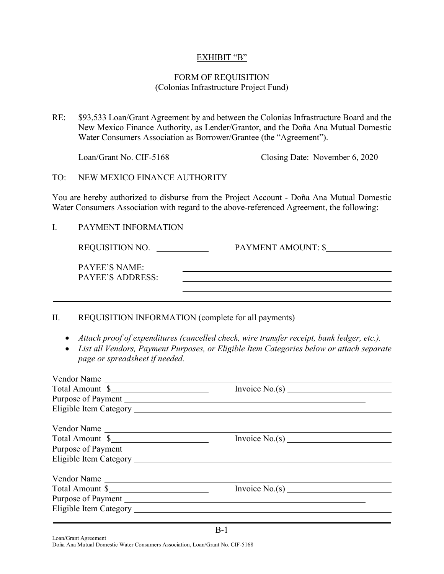## EXHIBIT "B"

## FORM OF REQUISITION (Colonias Infrastructure Project Fund)

RE: \$93,533 Loan/Grant Agreement by and between the Colonias Infrastructure Board and the New Mexico Finance Authority, as Lender/Grantor, and the Doña Ana Mutual Domestic Water Consumers Association as Borrower/Grantee (the "Agreement").

Loan/Grant No. CIF-5168 Closing Date: November 6, 2020

TO: NEW MEXICO FINANCE AUTHORITY

You are hereby authorized to disburse from the Project Account - Doña Ana Mutual Domestic Water Consumers Association with regard to the above-referenced Agreement, the following:

I. PAYMENT INFORMATION

REQUISITION NO. <br>PAYMENT AMOUNT: \$ PAYEE'S NAME: PAYEE'S ADDRESS:

### II. REQUISITION INFORMATION (complete for all payments)

- *Attach proof of expenditures (cancelled check, wire transfer receipt, bank ledger, etc.).*
- *List all Vendors, Payment Purposes, or Eligible Item Categories below or attach separate page or spreadsheet if needed.*

| Vendor Name     |  |
|-----------------|--|
| Total Amount \$ |  |
|                 |  |
|                 |  |
| Vendor Name     |  |
| Total Amount \$ |  |
|                 |  |
|                 |  |
| Vendor Name     |  |
| Total Amount \$ |  |
|                 |  |
|                 |  |
|                 |  |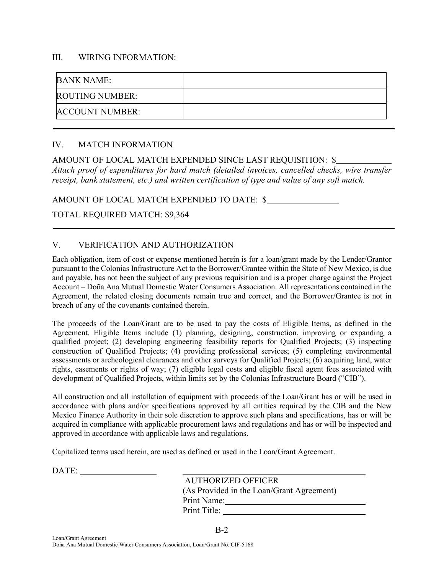#### III. WIRING INFORMATION:

| <b>BANK NAME:</b>      |  |
|------------------------|--|
| <b>ROUTING NUMBER:</b> |  |
| <b>ACCOUNT NUMBER:</b> |  |

## IV. MATCH INFORMATION

AMOUNT OF LOCAL MATCH EXPENDED SINCE LAST REQUISITION: \$ *Attach proof of expenditures for hard match (detailed invoices, cancelled checks, wire transfer receipt, bank statement, etc.) and written certification of type and value of any soft match.*

AMOUNT OF LOCAL MATCH EXPENDED TO DATE: \$

## TOTAL REQUIRED MATCH: \$9,364

## V. VERIFICATION AND AUTHORIZATION

Each obligation, item of cost or expense mentioned herein is for a loan/grant made by the Lender/Grantor pursuant to the Colonias Infrastructure Act to the Borrower/Grantee within the State of New Mexico, is due and payable, has not been the subject of any previous requisition and is a proper charge against the Project Account – Doña Ana Mutual Domestic Water Consumers Association. All representations contained in the Agreement, the related closing documents remain true and correct, and the Borrower/Grantee is not in breach of any of the covenants contained therein.

The proceeds of the Loan/Grant are to be used to pay the costs of Eligible Items, as defined in the Agreement. Eligible Items include (1) planning, designing, construction, improving or expanding a qualified project; (2) developing engineering feasibility reports for Qualified Projects; (3) inspecting construction of Qualified Projects; (4) providing professional services; (5) completing environmental assessments or archeological clearances and other surveys for Qualified Projects; (6) acquiring land, water rights, easements or rights of way; (7) eligible legal costs and eligible fiscal agent fees associated with development of Qualified Projects, within limits set by the Colonias Infrastructure Board ("CIB").

All construction and all installation of equipment with proceeds of the Loan/Grant has or will be used in accordance with plans and/or specifications approved by all entities required by the CIB and the New Mexico Finance Authority in their sole discretion to approve such plans and specifications, has or will be acquired in compliance with applicable procurement laws and regulations and has or will be inspected and approved in accordance with applicable laws and regulations.

B-2

Capitalized terms used herein, are used as defined or used in the Loan/Grant Agreement.

| AUTHORIZED OFFICER                        |
|-------------------------------------------|
| (As Provided in the Loan/Grant Agreement) |
| Print Name:                               |
| Print Title:                              |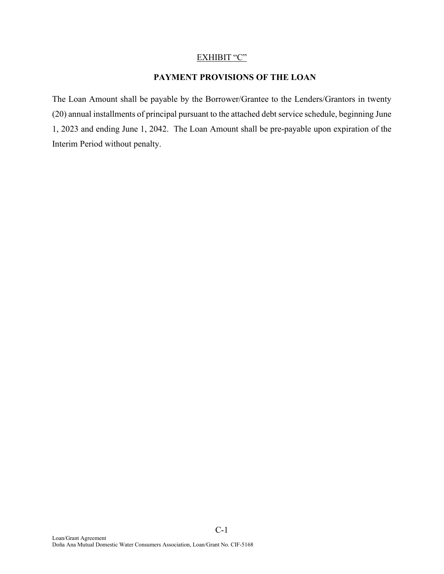#### EXHIBIT "C"

# **PAYMENT PROVISIONS OF THE LOAN**

The Loan Amount shall be payable by the Borrower/Grantee to the Lenders/Grantors in twenty (20) annual installments of principal pursuant to the attached debt service schedule, beginning June 1, 2023 and ending June 1, 2042. The Loan Amount shall be pre-payable upon expiration of the Interim Period without penalty.

C-1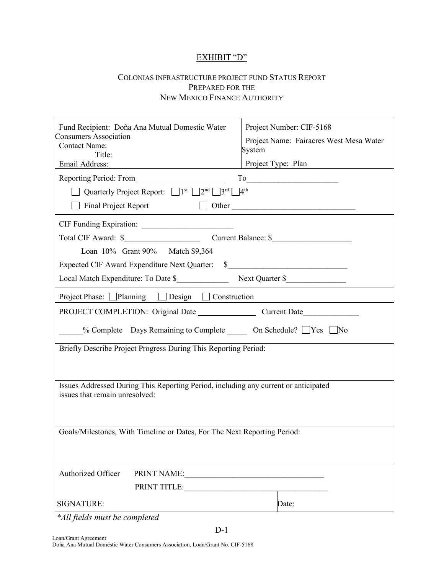# EXHIBIT "D"

#### COLONIAS INFRASTRUCTURE PROJECT FUND STATUS REPORT PREPARED FOR THE NEW MEXICO FINANCE AUTHORITY

| Fund Recipient: Doña Ana Mutual Domestic Water<br><b>Consumers Association</b><br><b>Contact Name:</b><br>Title:<br>Email Address:                       | Project Number: CIF-5168<br>Project Name: Fairacres West Mesa Water<br>System<br>Project Type: Plan |  |
|----------------------------------------------------------------------------------------------------------------------------------------------------------|-----------------------------------------------------------------------------------------------------|--|
|                                                                                                                                                          |                                                                                                     |  |
| Quarterly Project Report: $\Box$ 1 <sup>st</sup> $\Box$ 2 <sup>nd</sup> $\Box$ 3 <sup>rd</sup> $\Box$ 4 <sup>th</sup>                                    | To                                                                                                  |  |
|                                                                                                                                                          |                                                                                                     |  |
| Final Project Report 1 Other                                                                                                                             |                                                                                                     |  |
|                                                                                                                                                          |                                                                                                     |  |
|                                                                                                                                                          |                                                                                                     |  |
| Loan 10% Grant 90% Match \$9,364                                                                                                                         |                                                                                                     |  |
| Expected CIF Award Expenditure Next Quarter: \$__________________________________                                                                        |                                                                                                     |  |
|                                                                                                                                                          |                                                                                                     |  |
| Project Phase: □Planning □ Design □ Construction                                                                                                         |                                                                                                     |  |
|                                                                                                                                                          |                                                                                                     |  |
| <u>Mo</u> ‰ Complete Days Remaining to Complete <u>All Connective Connective Connective Connective</u> Connection Dividending Connection Connection Pres |                                                                                                     |  |
| Briefly Describe Project Progress During This Reporting Period:                                                                                          |                                                                                                     |  |
|                                                                                                                                                          |                                                                                                     |  |
|                                                                                                                                                          |                                                                                                     |  |
| Issues Addressed During This Reporting Period, including any current or anticipated<br>issues that remain unresolved:                                    |                                                                                                     |  |
|                                                                                                                                                          |                                                                                                     |  |
| Goals/Milestones, With Timeline or Dates, For The Next Reporting Period:                                                                                 |                                                                                                     |  |
|                                                                                                                                                          |                                                                                                     |  |
|                                                                                                                                                          |                                                                                                     |  |
| Authorized Officer<br>PRINT NAME: VALUE AND THE PRINT NAME:                                                                                              |                                                                                                     |  |
| PRINT TITLE:                                                                                                                                             |                                                                                                     |  |
| SIGNATURE:                                                                                                                                               | Date:                                                                                               |  |

D-1

 *\*All fields must be completed*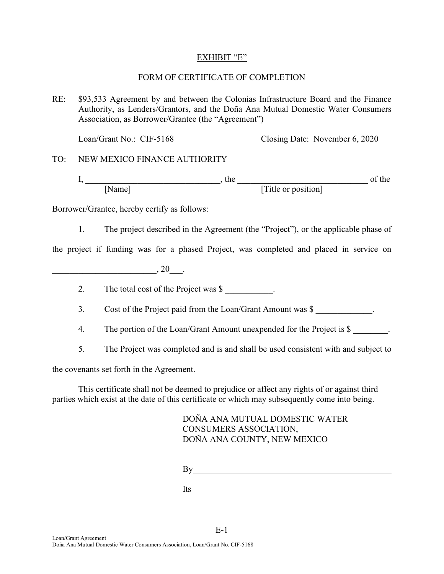## EXHIBIT "E"

## FORM OF CERTIFICATE OF COMPLETION

RE: \$93,533 Agreement by and between the Colonias Infrastructure Board and the Finance Authority, as Lenders/Grantors, and the Doña Ana Mutual Domestic Water Consumers Association, as Borrower/Grantee (the "Agreement")

Loan/Grant No.: CIF-5168 Closing Date: November 6, 2020

TO: NEW MEXICO FINANCE AUTHORITY

I, \_\_\_\_\_\_\_\_\_\_\_\_\_\_\_\_\_\_\_\_\_\_\_\_\_\_\_\_\_\_\_, the \_\_\_\_\_\_\_\_\_\_\_\_\_\_\_\_\_\_\_\_\_\_\_\_\_\_\_\_\_\_ of the [Name] [Title or position]

Borrower/Grantee, hereby certify as follows:

1. The project described in the Agreement (the "Project"), or the applicable phase of

the project if funding was for a phased Project, was completed and placed in service on

 $, 20$   $.$ 

2. The total cost of the Project was \$

3. Cost of the Project paid from the Loan/Grant Amount was \$

- 4. The portion of the Loan/Grant Amount unexpended for the Project is \$
- 5. The Project was completed and is and shall be used consistent with and subject to

the covenants set forth in the Agreement.

This certificate shall not be deemed to prejudice or affect any rights of or against third parties which exist at the date of this certificate or which may subsequently come into being.

E-1

DOÑA ANA MUTUAL DOMESTIC WATER CONSUMERS ASSOCIATION, DOÑA ANA COUNTY, NEW MEXICO

By extension of the state of the state of the state of the state of the state of the state of the state of the state of the state of the state of the state of the state of the state of the state of the state of the state o

Its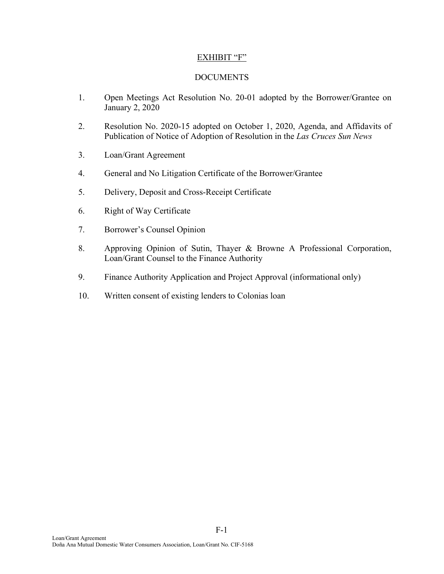## EXHIBIT "F"

## DOCUMENTS

- 1. Open Meetings Act Resolution No. 20-01 adopted by the Borrower/Grantee on January 2, 2020
- 2. Resolution No. 2020-15 adopted on October 1, 2020, Agenda, and Affidavits of Publication of Notice of Adoption of Resolution in the *Las Cruces Sun News*
- 3. Loan/Grant Agreement
- 4. General and No Litigation Certificate of the Borrower/Grantee
- 5. Delivery, Deposit and Cross-Receipt Certificate
- 6. Right of Way Certificate
- 7. Borrower's Counsel Opinion
- 8. Approving Opinion of Sutin, Thayer & Browne A Professional Corporation, Loan/Grant Counsel to the Finance Authority
- 9. Finance Authority Application and Project Approval (informational only)

F-1

10. Written consent of existing lenders to Colonias loan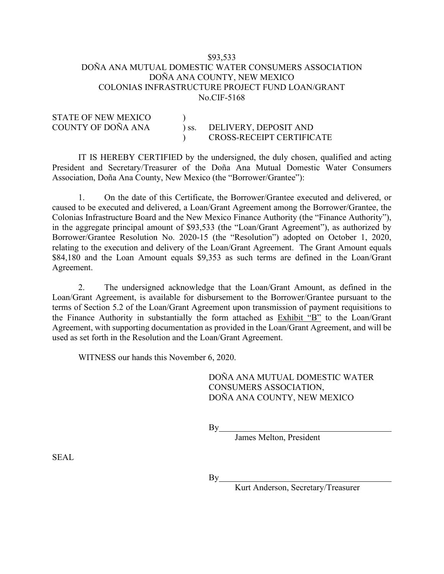### \$93,533 DOÑA ANA MUTUAL DOMESTIC WATER CONSUMERS ASSOCIATION DOÑA ANA COUNTY, NEW MEXICO COLONIAS INFRASTRUCTURE PROJECT FUND LOAN/GRANT No.CIF-5168

| STATE OF INEW MEAILU |                              |                           |
|----------------------|------------------------------|---------------------------|
| COUNTY OF DOÑA ANA   | $\overline{\phantom{a}}$ SS. | DELIVERY, DEPOSIT AND     |
|                      |                              | CROSS-RECEIPT CERTIFICATE |

STATE OF NEW MEXICO )

IT IS HEREBY CERTIFIED by the undersigned, the duly chosen, qualified and acting President and Secretary/Treasurer of the Doña Ana Mutual Domestic Water Consumers Association, Doña Ana County, New Mexico (the "Borrower/Grantee"):

1. On the date of this Certificate, the Borrower/Grantee executed and delivered, or caused to be executed and delivered, a Loan/Grant Agreement among the Borrower/Grantee, the Colonias Infrastructure Board and the New Mexico Finance Authority (the "Finance Authority"), in the aggregate principal amount of \$93,533 (the "Loan/Grant Agreement"), as authorized by Borrower/Grantee Resolution No. 2020-15 (the "Resolution") adopted on October 1, 2020, relating to the execution and delivery of the Loan/Grant Agreement. The Grant Amount equals \$84,180 and the Loan Amount equals \$9,353 as such terms are defined in the Loan/Grant Agreement.

2. The undersigned acknowledge that the Loan/Grant Amount, as defined in the Loan/Grant Agreement, is available for disbursement to the Borrower/Grantee pursuant to the terms of Section 5.2 of the Loan/Grant Agreement upon transmission of payment requisitions to the Finance Authority in substantially the form attached as Exhibit "B" to the Loan/Grant Agreement, with supporting documentation as provided in the Loan/Grant Agreement, and will be used as set forth in the Resolution and the Loan/Grant Agreement.

WITNESS our hands this November 6, 2020.

DOÑA ANA MUTUAL DOMESTIC WATER CONSUMERS ASSOCIATION, DOÑA ANA COUNTY, NEW MEXICO

 $By$ 

 $By$ 

James Melton, President

SEAL

Kurt Anderson, Secretary/Treasurer